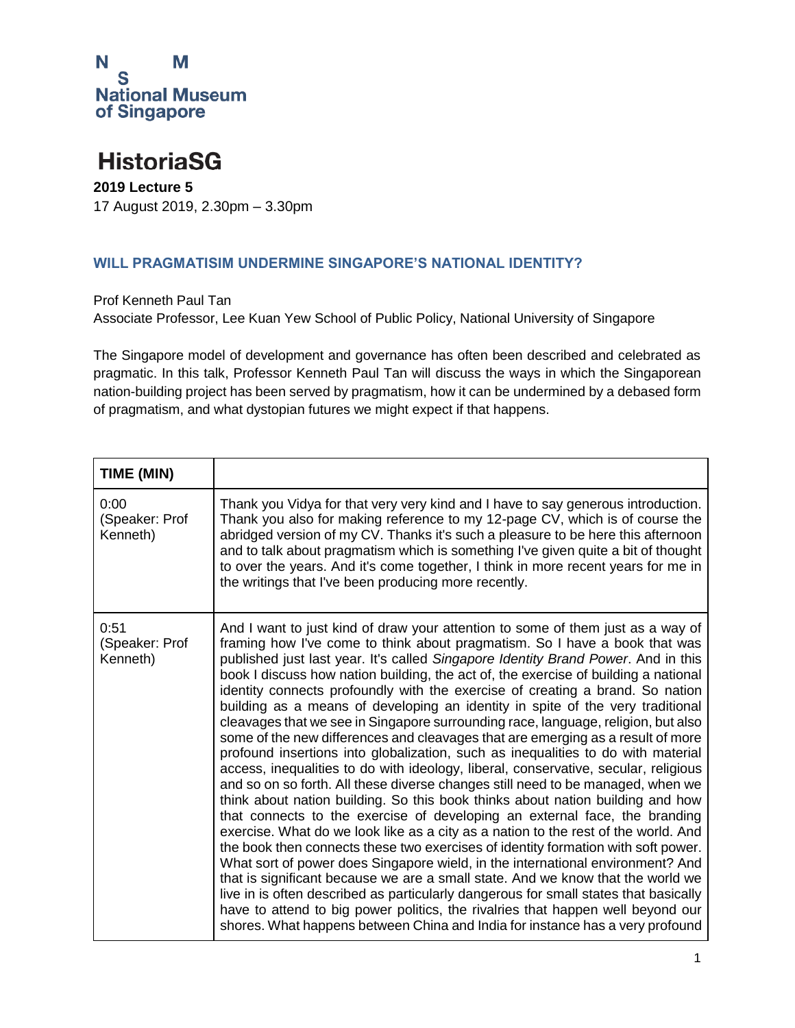

### **HistoriaSG**

**2019 Lecture 5** 17 August 2019, 2.30pm – 3.30pm

#### **WILL PRAGMATISIM UNDERMINE SINGAPORE'S NATIONAL IDENTITY?**

Prof Kenneth Paul Tan Associate Professor, Lee Kuan Yew School of Public Policy, National University of Singapore

The Singapore model of development and governance has often been described and celebrated as pragmatic. In this talk, Professor Kenneth Paul Tan will discuss the ways in which the Singaporean nation-building project has been served by pragmatism, how it can be undermined by a debased form of pragmatism, and what dystopian futures we might expect if that happens.

| TIME (MIN)                         |                                                                                                                                                                                                                                                                                                                                                                                                                                                                                                                                                                                                                                                                                                                                                                                                                                                                                                                                                                                                                                                                                                                                                                                                                                                                                                                                                                                                                                                                                                                                                                                                                                                                                                                                |
|------------------------------------|--------------------------------------------------------------------------------------------------------------------------------------------------------------------------------------------------------------------------------------------------------------------------------------------------------------------------------------------------------------------------------------------------------------------------------------------------------------------------------------------------------------------------------------------------------------------------------------------------------------------------------------------------------------------------------------------------------------------------------------------------------------------------------------------------------------------------------------------------------------------------------------------------------------------------------------------------------------------------------------------------------------------------------------------------------------------------------------------------------------------------------------------------------------------------------------------------------------------------------------------------------------------------------------------------------------------------------------------------------------------------------------------------------------------------------------------------------------------------------------------------------------------------------------------------------------------------------------------------------------------------------------------------------------------------------------------------------------------------------|
| 0:00<br>(Speaker: Prof<br>Kenneth) | Thank you Vidya for that very very kind and I have to say generous introduction.<br>Thank you also for making reference to my 12-page CV, which is of course the<br>abridged version of my CV. Thanks it's such a pleasure to be here this afternoon<br>and to talk about pragmatism which is something I've given quite a bit of thought<br>to over the years. And it's come together, I think in more recent years for me in<br>the writings that I've been producing more recently.                                                                                                                                                                                                                                                                                                                                                                                                                                                                                                                                                                                                                                                                                                                                                                                                                                                                                                                                                                                                                                                                                                                                                                                                                                         |
| 0:51<br>(Speaker: Prof<br>Kenneth) | And I want to just kind of draw your attention to some of them just as a way of<br>framing how I've come to think about pragmatism. So I have a book that was<br>published just last year. It's called Singapore Identity Brand Power. And in this<br>book I discuss how nation building, the act of, the exercise of building a national<br>identity connects profoundly with the exercise of creating a brand. So nation<br>building as a means of developing an identity in spite of the very traditional<br>cleavages that we see in Singapore surrounding race, language, religion, but also<br>some of the new differences and cleavages that are emerging as a result of more<br>profound insertions into globalization, such as inequalities to do with material<br>access, inequalities to do with ideology, liberal, conservative, secular, religious<br>and so on so forth. All these diverse changes still need to be managed, when we<br>think about nation building. So this book thinks about nation building and how<br>that connects to the exercise of developing an external face, the branding<br>exercise. What do we look like as a city as a nation to the rest of the world. And<br>the book then connects these two exercises of identity formation with soft power.<br>What sort of power does Singapore wield, in the international environment? And<br>that is significant because we are a small state. And we know that the world we<br>live in is often described as particularly dangerous for small states that basically<br>have to attend to big power politics, the rivalries that happen well beyond our<br>shores. What happens between China and India for instance has a very profound |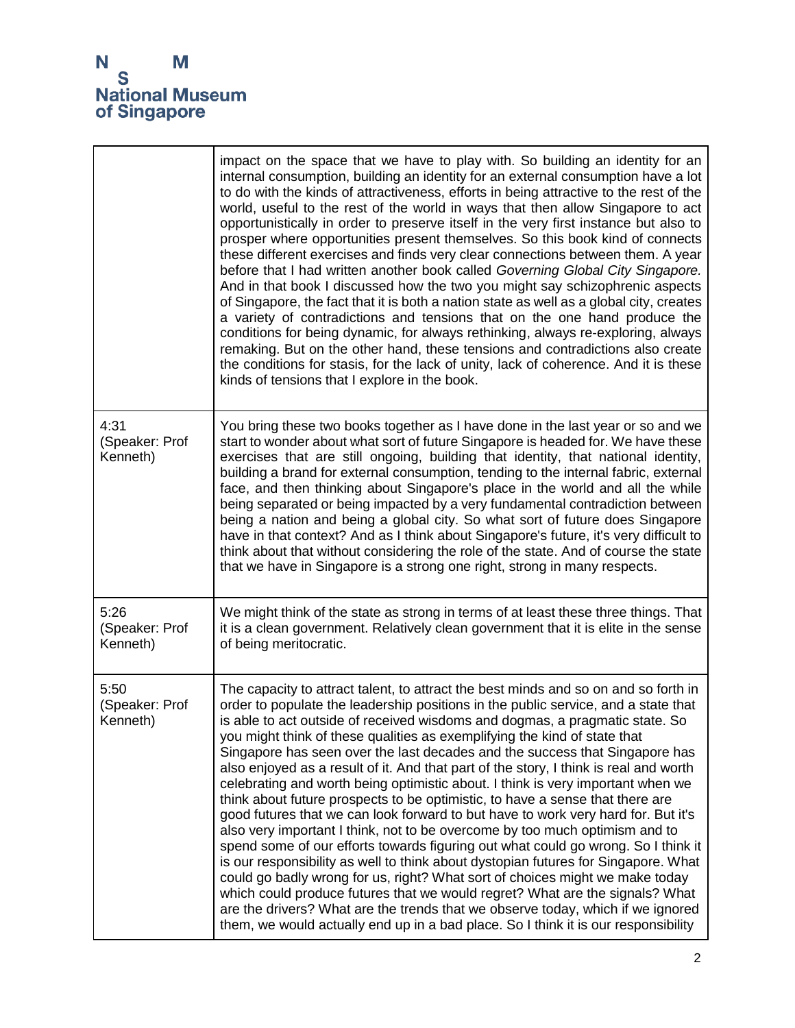

|                                    | impact on the space that we have to play with. So building an identity for an<br>internal consumption, building an identity for an external consumption have a lot<br>to do with the kinds of attractiveness, efforts in being attractive to the rest of the<br>world, useful to the rest of the world in ways that then allow Singapore to act<br>opportunistically in order to preserve itself in the very first instance but also to<br>prosper where opportunities present themselves. So this book kind of connects<br>these different exercises and finds very clear connections between them. A year<br>before that I had written another book called Governing Global City Singapore.<br>And in that book I discussed how the two you might say schizophrenic aspects<br>of Singapore, the fact that it is both a nation state as well as a global city, creates<br>a variety of contradictions and tensions that on the one hand produce the<br>conditions for being dynamic, for always rethinking, always re-exploring, always<br>remaking. But on the other hand, these tensions and contradictions also create<br>the conditions for stasis, for the lack of unity, lack of coherence. And it is these<br>kinds of tensions that I explore in the book.                                                                                                       |
|------------------------------------|----------------------------------------------------------------------------------------------------------------------------------------------------------------------------------------------------------------------------------------------------------------------------------------------------------------------------------------------------------------------------------------------------------------------------------------------------------------------------------------------------------------------------------------------------------------------------------------------------------------------------------------------------------------------------------------------------------------------------------------------------------------------------------------------------------------------------------------------------------------------------------------------------------------------------------------------------------------------------------------------------------------------------------------------------------------------------------------------------------------------------------------------------------------------------------------------------------------------------------------------------------------------------------------------------------------------------------------------------------------------------|
| 4:31<br>(Speaker: Prof<br>Kenneth) | You bring these two books together as I have done in the last year or so and we<br>start to wonder about what sort of future Singapore is headed for. We have these<br>exercises that are still ongoing, building that identity, that national identity,<br>building a brand for external consumption, tending to the internal fabric, external<br>face, and then thinking about Singapore's place in the world and all the while<br>being separated or being impacted by a very fundamental contradiction between<br>being a nation and being a global city. So what sort of future does Singapore<br>have in that context? And as I think about Singapore's future, it's very difficult to<br>think about that without considering the role of the state. And of course the state<br>that we have in Singapore is a strong one right, strong in many respects.                                                                                                                                                                                                                                                                                                                                                                                                                                                                                                           |
| 5:26<br>(Speaker: Prof<br>Kenneth) | We might think of the state as strong in terms of at least these three things. That<br>it is a clean government. Relatively clean government that it is elite in the sense<br>of being meritocratic.                                                                                                                                                                                                                                                                                                                                                                                                                                                                                                                                                                                                                                                                                                                                                                                                                                                                                                                                                                                                                                                                                                                                                                       |
| 5:50<br>(Speaker: Prof<br>Kenneth) | The capacity to attract talent, to attract the best minds and so on and so forth in<br>order to populate the leadership positions in the public service, and a state that<br>is able to act outside of received wisdoms and dogmas, a pragmatic state. So<br>you might think of these qualities as exemplifying the kind of state that<br>Singapore has seen over the last decades and the success that Singapore has<br>also enjoyed as a result of it. And that part of the story, I think is real and worth<br>celebrating and worth being optimistic about. I think is very important when we<br>think about future prospects to be optimistic, to have a sense that there are<br>good futures that we can look forward to but have to work very hard for. But it's<br>also very important I think, not to be overcome by too much optimism and to<br>spend some of our efforts towards figuring out what could go wrong. So I think it<br>is our responsibility as well to think about dystopian futures for Singapore. What<br>could go badly wrong for us, right? What sort of choices might we make today<br>which could produce futures that we would regret? What are the signals? What<br>are the drivers? What are the trends that we observe today, which if we ignored<br>them, we would actually end up in a bad place. So I think it is our responsibility |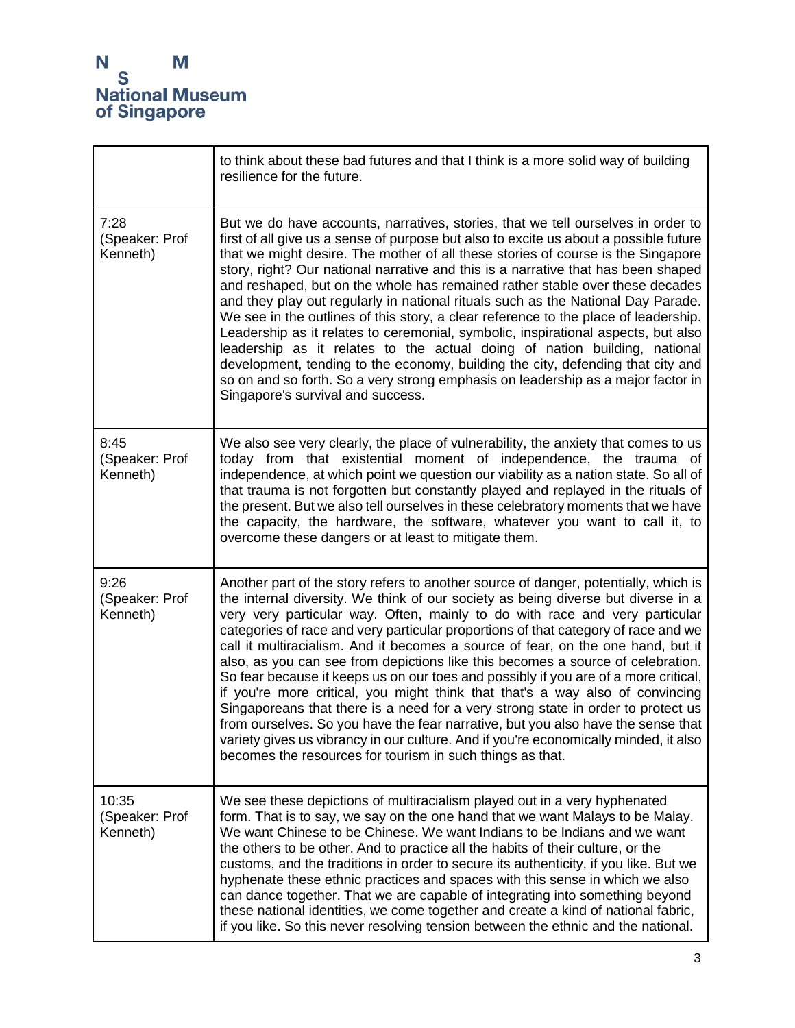'n

|                                     | to think about these bad futures and that I think is a more solid way of building<br>resilience for the future.                                                                                                                                                                                                                                                                                                                                                                                                                                                                                                                                                                                                                                                                                                                                                                                                                                                                                                           |
|-------------------------------------|---------------------------------------------------------------------------------------------------------------------------------------------------------------------------------------------------------------------------------------------------------------------------------------------------------------------------------------------------------------------------------------------------------------------------------------------------------------------------------------------------------------------------------------------------------------------------------------------------------------------------------------------------------------------------------------------------------------------------------------------------------------------------------------------------------------------------------------------------------------------------------------------------------------------------------------------------------------------------------------------------------------------------|
| 7:28<br>(Speaker: Prof<br>Kenneth)  | But we do have accounts, narratives, stories, that we tell ourselves in order to<br>first of all give us a sense of purpose but also to excite us about a possible future<br>that we might desire. The mother of all these stories of course is the Singapore<br>story, right? Our national narrative and this is a narrative that has been shaped<br>and reshaped, but on the whole has remained rather stable over these decades<br>and they play out regularly in national rituals such as the National Day Parade.<br>We see in the outlines of this story, a clear reference to the place of leadership.<br>Leadership as it relates to ceremonial, symbolic, inspirational aspects, but also<br>leadership as it relates to the actual doing of nation building, national<br>development, tending to the economy, building the city, defending that city and<br>so on and so forth. So a very strong emphasis on leadership as a major factor in<br>Singapore's survival and success.                               |
| 8:45<br>(Speaker: Prof<br>Kenneth)  | We also see very clearly, the place of vulnerability, the anxiety that comes to us<br>today from that existential moment of independence, the trauma of<br>independence, at which point we question our viability as a nation state. So all of<br>that trauma is not forgotten but constantly played and replayed in the rituals of<br>the present. But we also tell ourselves in these celebratory moments that we have<br>the capacity, the hardware, the software, whatever you want to call it, to<br>overcome these dangers or at least to mitigate them.                                                                                                                                                                                                                                                                                                                                                                                                                                                            |
| 9:26<br>(Speaker: Prof<br>Kenneth)  | Another part of the story refers to another source of danger, potentially, which is<br>the internal diversity. We think of our society as being diverse but diverse in a<br>very very particular way. Often, mainly to do with race and very particular<br>categories of race and very particular proportions of that category of race and we<br>call it multiracialism. And it becomes a source of fear, on the one hand, but it<br>also, as you can see from depictions like this becomes a source of celebration.<br>So fear because it keeps us on our toes and possibly if you are of a more critical,<br>if you're more critical, you might think that that's a way also of convincing<br>Singaporeans that there is a need for a very strong state in order to protect us<br>from ourselves. So you have the fear narrative, but you also have the sense that<br>variety gives us vibrancy in our culture. And if you're economically minded, it also<br>becomes the resources for tourism in such things as that. |
| 10:35<br>(Speaker: Prof<br>Kenneth) | We see these depictions of multiracialism played out in a very hyphenated<br>form. That is to say, we say on the one hand that we want Malays to be Malay.<br>We want Chinese to be Chinese. We want Indians to be Indians and we want<br>the others to be other. And to practice all the habits of their culture, or the<br>customs, and the traditions in order to secure its authenticity, if you like. But we<br>hyphenate these ethnic practices and spaces with this sense in which we also<br>can dance together. That we are capable of integrating into something beyond<br>these national identities, we come together and create a kind of national fabric,<br>if you like. So this never resolving tension between the ethnic and the national.                                                                                                                                                                                                                                                               |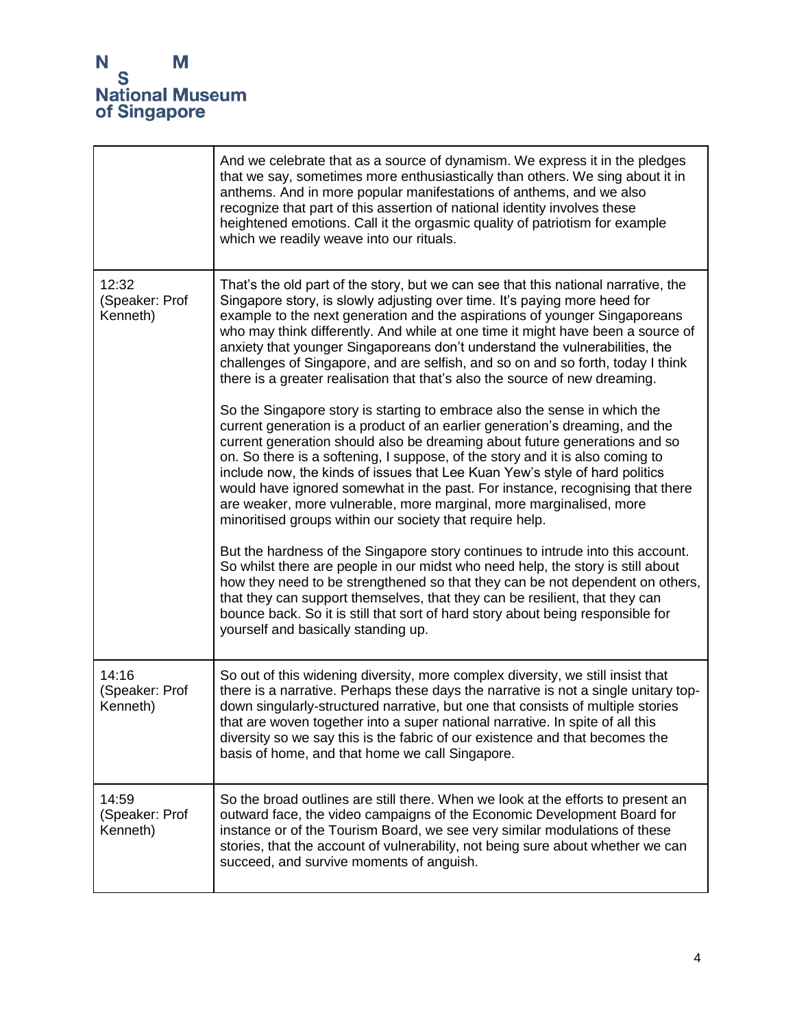

|                                     | And we celebrate that as a source of dynamism. We express it in the pledges<br>that we say, sometimes more enthusiastically than others. We sing about it in<br>anthems. And in more popular manifestations of anthems, and we also<br>recognize that part of this assertion of national identity involves these<br>heightened emotions. Call it the orgasmic quality of patriotism for example<br>which we readily weave into our rituals.                                                                                                                                                                                 |
|-------------------------------------|-----------------------------------------------------------------------------------------------------------------------------------------------------------------------------------------------------------------------------------------------------------------------------------------------------------------------------------------------------------------------------------------------------------------------------------------------------------------------------------------------------------------------------------------------------------------------------------------------------------------------------|
| 12:32<br>(Speaker: Prof<br>Kenneth) | That's the old part of the story, but we can see that this national narrative, the<br>Singapore story, is slowly adjusting over time. It's paying more heed for<br>example to the next generation and the aspirations of younger Singaporeans<br>who may think differently. And while at one time it might have been a source of<br>anxiety that younger Singaporeans don't understand the vulnerabilities, the<br>challenges of Singapore, and are selfish, and so on and so forth, today I think<br>there is a greater realisation that that's also the source of new dreaming.                                           |
|                                     | So the Singapore story is starting to embrace also the sense in which the<br>current generation is a product of an earlier generation's dreaming, and the<br>current generation should also be dreaming about future generations and so<br>on. So there is a softening, I suppose, of the story and it is also coming to<br>include now, the kinds of issues that Lee Kuan Yew's style of hard politics<br>would have ignored somewhat in the past. For instance, recognising that there<br>are weaker, more vulnerable, more marginal, more marginalised, more<br>minoritised groups within our society that require help. |
|                                     | But the hardness of the Singapore story continues to intrude into this account.<br>So whilst there are people in our midst who need help, the story is still about<br>how they need to be strengthened so that they can be not dependent on others,<br>that they can support themselves, that they can be resilient, that they can<br>bounce back. So it is still that sort of hard story about being responsible for<br>yourself and basically standing up.                                                                                                                                                                |
| 14:16<br>(Speaker: Prof<br>Kenneth) | So out of this widening diversity, more complex diversity, we still insist that<br>there is a narrative. Perhaps these days the narrative is not a single unitary top-<br>down singularly-structured narrative, but one that consists of multiple stories<br>that are woven together into a super national narrative. In spite of all this<br>diversity so we say this is the fabric of our existence and that becomes the<br>basis of home, and that home we call Singapore.                                                                                                                                               |
| 14:59<br>(Speaker: Prof<br>Kenneth) | So the broad outlines are still there. When we look at the efforts to present an<br>outward face, the video campaigns of the Economic Development Board for<br>instance or of the Tourism Board, we see very similar modulations of these<br>stories, that the account of vulnerability, not being sure about whether we can<br>succeed, and survive moments of anguish.                                                                                                                                                                                                                                                    |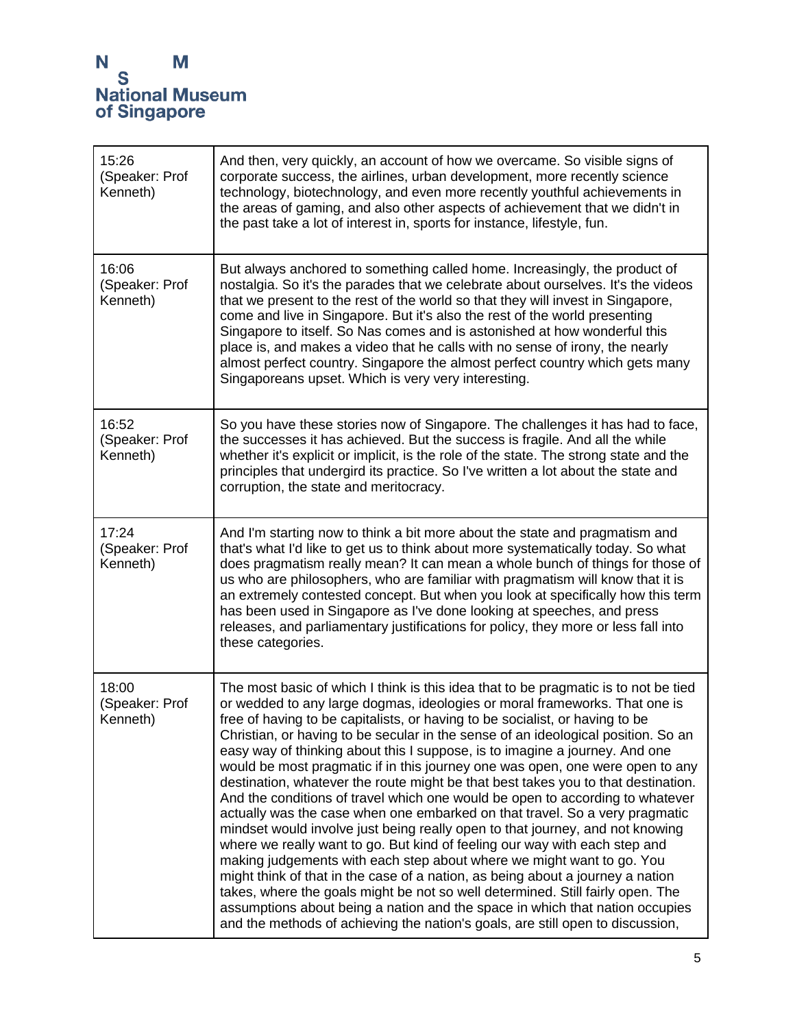| 15:26<br>(Speaker: Prof<br>Kenneth) | And then, very quickly, an account of how we overcame. So visible signs of<br>corporate success, the airlines, urban development, more recently science<br>technology, biotechnology, and even more recently youthful achievements in<br>the areas of gaming, and also other aspects of achievement that we didn't in<br>the past take a lot of interest in, sports for instance, lifestyle, fun.                                                                                                                                                                                                                                                                                                                                                                                                                                                                                                                                                                                                                                                                                                                                                                                                                                                                                                                                         |
|-------------------------------------|-------------------------------------------------------------------------------------------------------------------------------------------------------------------------------------------------------------------------------------------------------------------------------------------------------------------------------------------------------------------------------------------------------------------------------------------------------------------------------------------------------------------------------------------------------------------------------------------------------------------------------------------------------------------------------------------------------------------------------------------------------------------------------------------------------------------------------------------------------------------------------------------------------------------------------------------------------------------------------------------------------------------------------------------------------------------------------------------------------------------------------------------------------------------------------------------------------------------------------------------------------------------------------------------------------------------------------------------|
| 16:06<br>(Speaker: Prof<br>Kenneth) | But always anchored to something called home. Increasingly, the product of<br>nostalgia. So it's the parades that we celebrate about ourselves. It's the videos<br>that we present to the rest of the world so that they will invest in Singapore,<br>come and live in Singapore. But it's also the rest of the world presenting<br>Singapore to itself. So Nas comes and is astonished at how wonderful this<br>place is, and makes a video that he calls with no sense of irony, the nearly<br>almost perfect country. Singapore the almost perfect country which gets many<br>Singaporeans upset. Which is very very interesting.                                                                                                                                                                                                                                                                                                                                                                                                                                                                                                                                                                                                                                                                                                      |
| 16:52<br>(Speaker: Prof<br>Kenneth) | So you have these stories now of Singapore. The challenges it has had to face,<br>the successes it has achieved. But the success is fragile. And all the while<br>whether it's explicit or implicit, is the role of the state. The strong state and the<br>principles that undergird its practice. So I've written a lot about the state and<br>corruption, the state and meritocracy.                                                                                                                                                                                                                                                                                                                                                                                                                                                                                                                                                                                                                                                                                                                                                                                                                                                                                                                                                    |
| 17:24<br>(Speaker: Prof<br>Kenneth) | And I'm starting now to think a bit more about the state and pragmatism and<br>that's what I'd like to get us to think about more systematically today. So what<br>does pragmatism really mean? It can mean a whole bunch of things for those of<br>us who are philosophers, who are familiar with pragmatism will know that it is<br>an extremely contested concept. But when you look at specifically how this term<br>has been used in Singapore as I've done looking at speeches, and press<br>releases, and parliamentary justifications for policy, they more or less fall into<br>these categories.                                                                                                                                                                                                                                                                                                                                                                                                                                                                                                                                                                                                                                                                                                                                |
| 18:00<br>(Speaker: Prof<br>Kenneth) | The most basic of which I think is this idea that to be pragmatic is to not be tied<br>or wedded to any large dogmas, ideologies or moral frameworks. That one is<br>free of having to be capitalists, or having to be socialist, or having to be<br>Christian, or having to be secular in the sense of an ideological position. So an<br>easy way of thinking about this I suppose, is to imagine a journey. And one<br>would be most pragmatic if in this journey one was open, one were open to any<br>destination, whatever the route might be that best takes you to that destination.<br>And the conditions of travel which one would be open to according to whatever<br>actually was the case when one embarked on that travel. So a very pragmatic<br>mindset would involve just being really open to that journey, and not knowing<br>where we really want to go. But kind of feeling our way with each step and<br>making judgements with each step about where we might want to go. You<br>might think of that in the case of a nation, as being about a journey a nation<br>takes, where the goals might be not so well determined. Still fairly open. The<br>assumptions about being a nation and the space in which that nation occupies<br>and the methods of achieving the nation's goals, are still open to discussion, |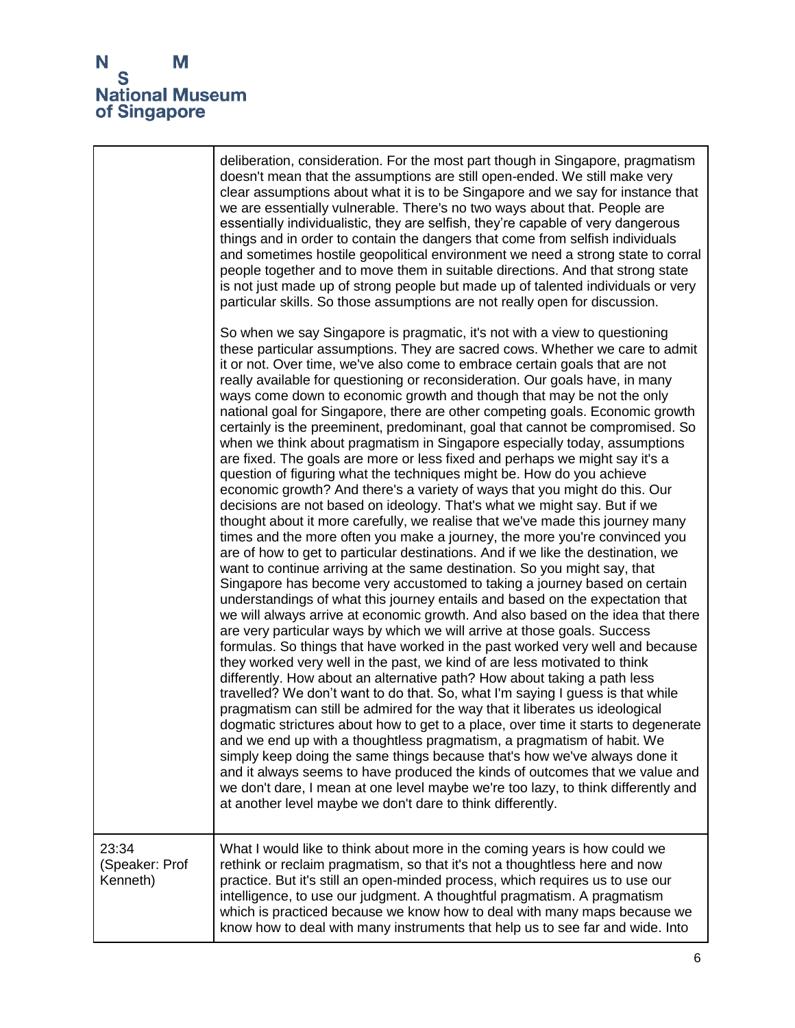# N<br>S<br>National Museum<br>of Singapore

|                                     | deliberation, consideration. For the most part though in Singapore, pragmatism<br>doesn't mean that the assumptions are still open-ended. We still make very<br>clear assumptions about what it is to be Singapore and we say for instance that<br>we are essentially vulnerable. There's no two ways about that. People are<br>essentially individualistic, they are selfish, they're capable of very dangerous<br>things and in order to contain the dangers that come from selfish individuals<br>and sometimes hostile geopolitical environment we need a strong state to corral<br>people together and to move them in suitable directions. And that strong state<br>is not just made up of strong people but made up of talented individuals or very<br>particular skills. So those assumptions are not really open for discussion.                                                                                                                                                                                                                                                                                                                                                                                                                                                                                                                                                                                                                                                                                                                                                                                                                                                                                                                                                                                                                                                                                                                                                                                                                                                                                                                                                                                                                                                                                                                                                                                                                                                                                    |
|-------------------------------------|------------------------------------------------------------------------------------------------------------------------------------------------------------------------------------------------------------------------------------------------------------------------------------------------------------------------------------------------------------------------------------------------------------------------------------------------------------------------------------------------------------------------------------------------------------------------------------------------------------------------------------------------------------------------------------------------------------------------------------------------------------------------------------------------------------------------------------------------------------------------------------------------------------------------------------------------------------------------------------------------------------------------------------------------------------------------------------------------------------------------------------------------------------------------------------------------------------------------------------------------------------------------------------------------------------------------------------------------------------------------------------------------------------------------------------------------------------------------------------------------------------------------------------------------------------------------------------------------------------------------------------------------------------------------------------------------------------------------------------------------------------------------------------------------------------------------------------------------------------------------------------------------------------------------------------------------------------------------------------------------------------------------------------------------------------------------------------------------------------------------------------------------------------------------------------------------------------------------------------------------------------------------------------------------------------------------------------------------------------------------------------------------------------------------------------------------------------------------------------------------------------------------------|
|                                     | So when we say Singapore is pragmatic, it's not with a view to questioning<br>these particular assumptions. They are sacred cows. Whether we care to admit<br>it or not. Over time, we've also come to embrace certain goals that are not<br>really available for questioning or reconsideration. Our goals have, in many<br>ways come down to economic growth and though that may be not the only<br>national goal for Singapore, there are other competing goals. Economic growth<br>certainly is the preeminent, predominant, goal that cannot be compromised. So<br>when we think about pragmatism in Singapore especially today, assumptions<br>are fixed. The goals are more or less fixed and perhaps we might say it's a<br>question of figuring what the techniques might be. How do you achieve<br>economic growth? And there's a variety of ways that you might do this. Our<br>decisions are not based on ideology. That's what we might say. But if we<br>thought about it more carefully, we realise that we've made this journey many<br>times and the more often you make a journey, the more you're convinced you<br>are of how to get to particular destinations. And if we like the destination, we<br>want to continue arriving at the same destination. So you might say, that<br>Singapore has become very accustomed to taking a journey based on certain<br>understandings of what this journey entails and based on the expectation that<br>we will always arrive at economic growth. And also based on the idea that there<br>are very particular ways by which we will arrive at those goals. Success<br>formulas. So things that have worked in the past worked very well and because<br>they worked very well in the past, we kind of are less motivated to think<br>differently. How about an alternative path? How about taking a path less<br>travelled? We don't want to do that. So, what I'm saying I guess is that while<br>pragmatism can still be admired for the way that it liberates us ideological<br>dogmatic strictures about how to get to a place, over time it starts to degenerate<br>and we end up with a thoughtless pragmatism, a pragmatism of habit. We<br>simply keep doing the same things because that's how we've always done it<br>and it always seems to have produced the kinds of outcomes that we value and<br>we don't dare, I mean at one level maybe we're too lazy, to think differently and<br>at another level maybe we don't dare to think differently. |
| 23:34<br>(Speaker: Prof<br>Kenneth) | What I would like to think about more in the coming years is how could we<br>rethink or reclaim pragmatism, so that it's not a thoughtless here and now<br>practice. But it's still an open-minded process, which requires us to use our<br>intelligence, to use our judgment. A thoughtful pragmatism. A pragmatism<br>which is practiced because we know how to deal with many maps because we<br>know how to deal with many instruments that help us to see far and wide. Into                                                                                                                                                                                                                                                                                                                                                                                                                                                                                                                                                                                                                                                                                                                                                                                                                                                                                                                                                                                                                                                                                                                                                                                                                                                                                                                                                                                                                                                                                                                                                                                                                                                                                                                                                                                                                                                                                                                                                                                                                                            |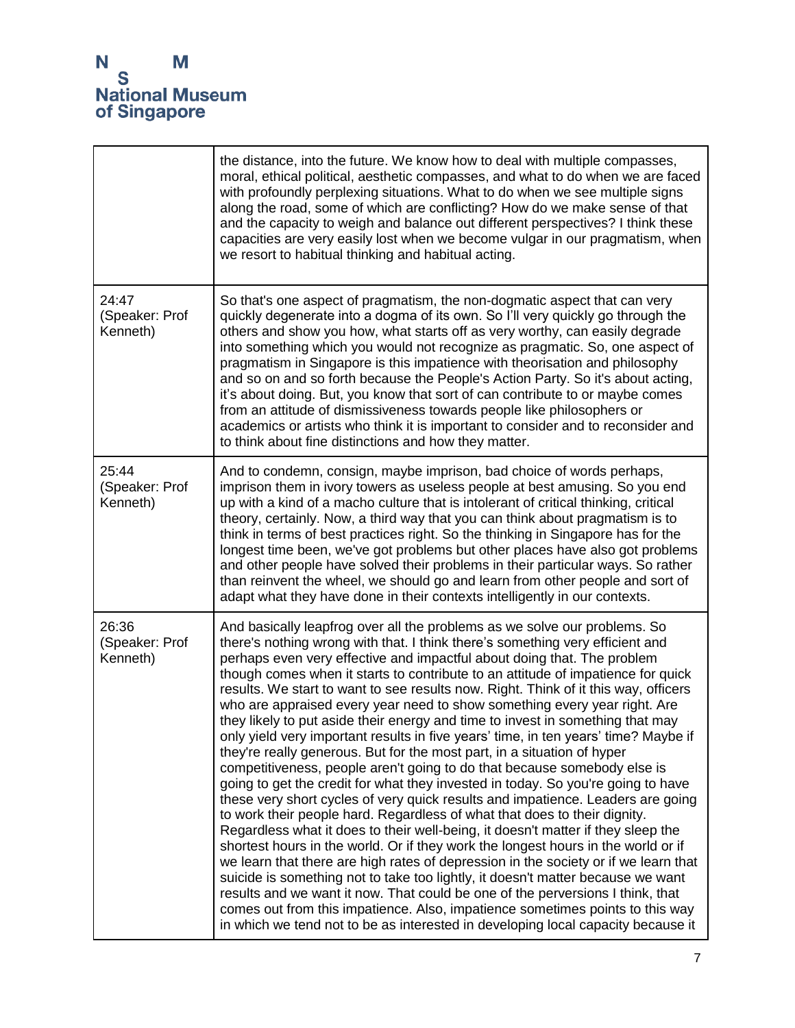|                                     | the distance, into the future. We know how to deal with multiple compasses,<br>moral, ethical political, aesthetic compasses, and what to do when we are faced<br>with profoundly perplexing situations. What to do when we see multiple signs<br>along the road, some of which are conflicting? How do we make sense of that<br>and the capacity to weigh and balance out different perspectives? I think these<br>capacities are very easily lost when we become vulgar in our pragmatism, when<br>we resort to habitual thinking and habitual acting.                                                                                                                                                                                                                                                                                                                                                                                                                                                                                                                                                                                                                                                                                                                                                                                                                                                                                                                                                                                                                                                                                                                                    |
|-------------------------------------|---------------------------------------------------------------------------------------------------------------------------------------------------------------------------------------------------------------------------------------------------------------------------------------------------------------------------------------------------------------------------------------------------------------------------------------------------------------------------------------------------------------------------------------------------------------------------------------------------------------------------------------------------------------------------------------------------------------------------------------------------------------------------------------------------------------------------------------------------------------------------------------------------------------------------------------------------------------------------------------------------------------------------------------------------------------------------------------------------------------------------------------------------------------------------------------------------------------------------------------------------------------------------------------------------------------------------------------------------------------------------------------------------------------------------------------------------------------------------------------------------------------------------------------------------------------------------------------------------------------------------------------------------------------------------------------------|
| 24:47<br>(Speaker: Prof<br>Kenneth) | So that's one aspect of pragmatism, the non-dogmatic aspect that can very<br>quickly degenerate into a dogma of its own. So I'll very quickly go through the<br>others and show you how, what starts off as very worthy, can easily degrade<br>into something which you would not recognize as pragmatic. So, one aspect of<br>pragmatism in Singapore is this impatience with theorisation and philosophy<br>and so on and so forth because the People's Action Party. So it's about acting,<br>it's about doing. But, you know that sort of can contribute to or maybe comes<br>from an attitude of dismissiveness towards people like philosophers or<br>academics or artists who think it is important to consider and to reconsider and<br>to think about fine distinctions and how they matter.                                                                                                                                                                                                                                                                                                                                                                                                                                                                                                                                                                                                                                                                                                                                                                                                                                                                                       |
| 25:44<br>(Speaker: Prof<br>Kenneth) | And to condemn, consign, maybe imprison, bad choice of words perhaps,<br>imprison them in ivory towers as useless people at best amusing. So you end<br>up with a kind of a macho culture that is intolerant of critical thinking, critical<br>theory, certainly. Now, a third way that you can think about pragmatism is to<br>think in terms of best practices right. So the thinking in Singapore has for the<br>longest time been, we've got problems but other places have also got problems<br>and other people have solved their problems in their particular ways. So rather<br>than reinvent the wheel, we should go and learn from other people and sort of<br>adapt what they have done in their contexts intelligently in our contexts.                                                                                                                                                                                                                                                                                                                                                                                                                                                                                                                                                                                                                                                                                                                                                                                                                                                                                                                                         |
| 26:36<br>(Speaker: Prof<br>Kenneth) | And basically leapfrog over all the problems as we solve our problems. So<br>there's nothing wrong with that. I think there's something very efficient and<br>perhaps even very effective and impactful about doing that. The problem<br>though comes when it starts to contribute to an attitude of impatience for quick<br>results. We start to want to see results now. Right. Think of it this way, officers<br>who are appraised every year need to show something every year right. Are<br>they likely to put aside their energy and time to invest in something that may<br>only yield very important results in five years' time, in ten years' time? Maybe if<br>they're really generous. But for the most part, in a situation of hyper<br>competitiveness, people aren't going to do that because somebody else is<br>going to get the credit for what they invested in today. So you're going to have<br>these very short cycles of very quick results and impatience. Leaders are going<br>to work their people hard. Regardless of what that does to their dignity.<br>Regardless what it does to their well-being, it doesn't matter if they sleep the<br>shortest hours in the world. Or if they work the longest hours in the world or if<br>we learn that there are high rates of depression in the society or if we learn that<br>suicide is something not to take too lightly, it doesn't matter because we want<br>results and we want it now. That could be one of the perversions I think, that<br>comes out from this impatience. Also, impatience sometimes points to this way<br>in which we tend not to be as interested in developing local capacity because it |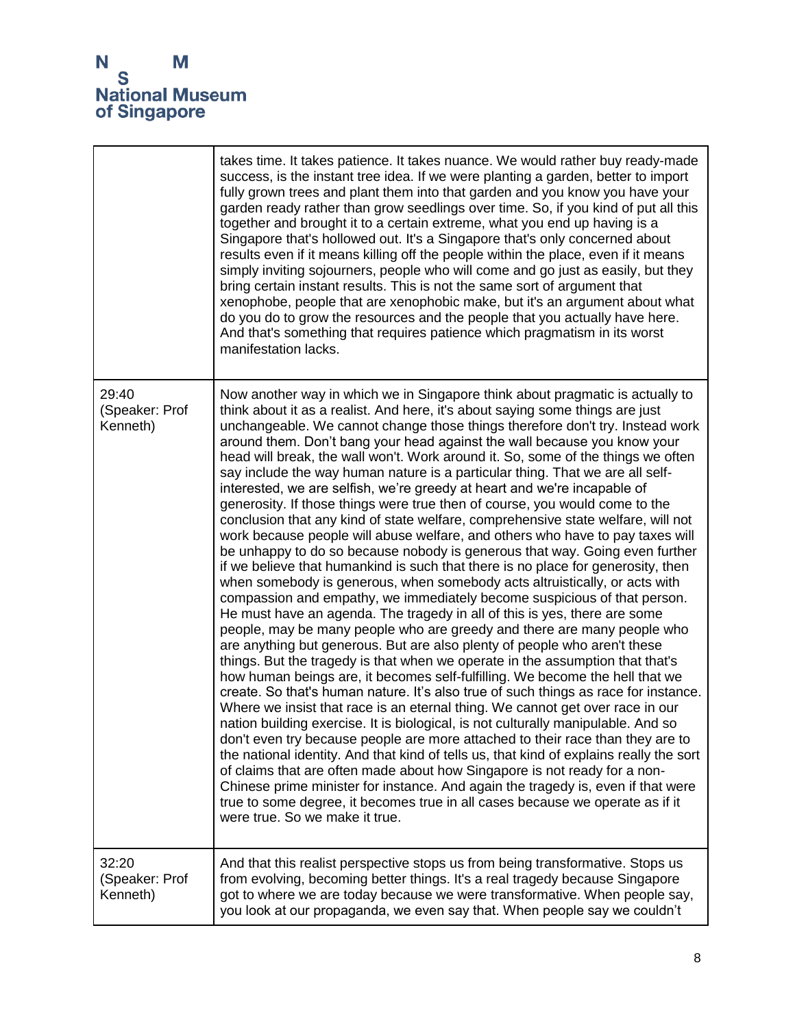## N<br>S<br>National Museum<br>of Singapore

|                                     | takes time. It takes patience. It takes nuance. We would rather buy ready-made<br>success, is the instant tree idea. If we were planting a garden, better to import<br>fully grown trees and plant them into that garden and you know you have your<br>garden ready rather than grow seedlings over time. So, if you kind of put all this<br>together and brought it to a certain extreme, what you end up having is a<br>Singapore that's hollowed out. It's a Singapore that's only concerned about<br>results even if it means killing off the people within the place, even if it means<br>simply inviting sojourners, people who will come and go just as easily, but they<br>bring certain instant results. This is not the same sort of argument that<br>xenophobe, people that are xenophobic make, but it's an argument about what<br>do you do to grow the resources and the people that you actually have here.<br>And that's something that requires patience which pragmatism in its worst<br>manifestation lacks.                                                                                                                                                                                                                                                                                                                                                                                                                                                                                                                                                                                                                                                                                                                                                                                                                                                                                                                                                                                                                                                                                                                                                                                                                                                                   |
|-------------------------------------|---------------------------------------------------------------------------------------------------------------------------------------------------------------------------------------------------------------------------------------------------------------------------------------------------------------------------------------------------------------------------------------------------------------------------------------------------------------------------------------------------------------------------------------------------------------------------------------------------------------------------------------------------------------------------------------------------------------------------------------------------------------------------------------------------------------------------------------------------------------------------------------------------------------------------------------------------------------------------------------------------------------------------------------------------------------------------------------------------------------------------------------------------------------------------------------------------------------------------------------------------------------------------------------------------------------------------------------------------------------------------------------------------------------------------------------------------------------------------------------------------------------------------------------------------------------------------------------------------------------------------------------------------------------------------------------------------------------------------------------------------------------------------------------------------------------------------------------------------------------------------------------------------------------------------------------------------------------------------------------------------------------------------------------------------------------------------------------------------------------------------------------------------------------------------------------------------------------------------------------------------------------------------------------------------|
| 29:40<br>(Speaker: Prof<br>Kenneth) | Now another way in which we in Singapore think about pragmatic is actually to<br>think about it as a realist. And here, it's about saying some things are just<br>unchangeable. We cannot change those things therefore don't try. Instead work<br>around them. Don't bang your head against the wall because you know your<br>head will break, the wall won't. Work around it. So, some of the things we often<br>say include the way human nature is a particular thing. That we are all self-<br>interested, we are selfish, we're greedy at heart and we're incapable of<br>generosity. If those things were true then of course, you would come to the<br>conclusion that any kind of state welfare, comprehensive state welfare, will not<br>work because people will abuse welfare, and others who have to pay taxes will<br>be unhappy to do so because nobody is generous that way. Going even further<br>if we believe that humankind is such that there is no place for generosity, then<br>when somebody is generous, when somebody acts altruistically, or acts with<br>compassion and empathy, we immediately become suspicious of that person.<br>He must have an agenda. The tragedy in all of this is yes, there are some<br>people, may be many people who are greedy and there are many people who<br>are anything but generous. But are also plenty of people who aren't these<br>things. But the tragedy is that when we operate in the assumption that that's<br>how human beings are, it becomes self-fulfilling. We become the hell that we<br>create. So that's human nature. It's also true of such things as race for instance.<br>Where we insist that race is an eternal thing. We cannot get over race in our<br>nation building exercise. It is biological, is not culturally manipulable. And so<br>don't even try because people are more attached to their race than they are to<br>the national identity. And that kind of tells us, that kind of explains really the sort<br>of claims that are often made about how Singapore is not ready for a non-<br>Chinese prime minister for instance. And again the tragedy is, even if that were<br>true to some degree, it becomes true in all cases because we operate as if it<br>were true. So we make it true. |
| 32:20<br>(Speaker: Prof<br>Kenneth) | And that this realist perspective stops us from being transformative. Stops us<br>from evolving, becoming better things. It's a real tragedy because Singapore<br>got to where we are today because we were transformative. When people say,<br>you look at our propaganda, we even say that. When people say we couldn't                                                                                                                                                                                                                                                                                                                                                                                                                                                                                                                                                                                                                                                                                                                                                                                                                                                                                                                                                                                                                                                                                                                                                                                                                                                                                                                                                                                                                                                                                                                                                                                                                                                                                                                                                                                                                                                                                                                                                                         |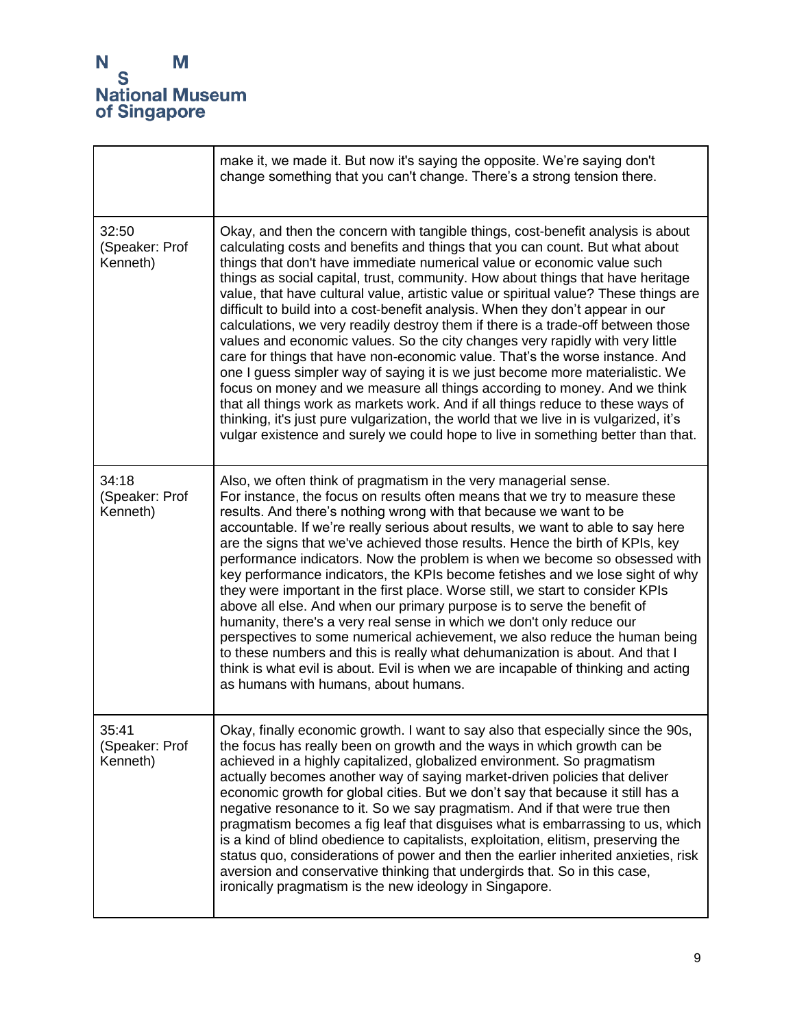|                                     | make it, we made it. But now it's saying the opposite. We're saying don't<br>change something that you can't change. There's a strong tension there.                                                                                                                                                                                                                                                                                                                                                                                                                                                                                                                                                                                                                                                                                                                                                                                                                                                                                                                                                                                                                                       |
|-------------------------------------|--------------------------------------------------------------------------------------------------------------------------------------------------------------------------------------------------------------------------------------------------------------------------------------------------------------------------------------------------------------------------------------------------------------------------------------------------------------------------------------------------------------------------------------------------------------------------------------------------------------------------------------------------------------------------------------------------------------------------------------------------------------------------------------------------------------------------------------------------------------------------------------------------------------------------------------------------------------------------------------------------------------------------------------------------------------------------------------------------------------------------------------------------------------------------------------------|
| 32:50<br>(Speaker: Prof<br>Kenneth) | Okay, and then the concern with tangible things, cost-benefit analysis is about<br>calculating costs and benefits and things that you can count. But what about<br>things that don't have immediate numerical value or economic value such<br>things as social capital, trust, community. How about things that have heritage<br>value, that have cultural value, artistic value or spiritual value? These things are<br>difficult to build into a cost-benefit analysis. When they don't appear in our<br>calculations, we very readily destroy them if there is a trade-off between those<br>values and economic values. So the city changes very rapidly with very little<br>care for things that have non-economic value. That's the worse instance. And<br>one I guess simpler way of saying it is we just become more materialistic. We<br>focus on money and we measure all things according to money. And we think<br>that all things work as markets work. And if all things reduce to these ways of<br>thinking, it's just pure vulgarization, the world that we live in is vulgarized, it's<br>vulgar existence and surely we could hope to live in something better than that. |
| 34:18<br>(Speaker: Prof<br>Kenneth) | Also, we often think of pragmatism in the very managerial sense.<br>For instance, the focus on results often means that we try to measure these<br>results. And there's nothing wrong with that because we want to be<br>accountable. If we're really serious about results, we want to able to say here<br>are the signs that we've achieved those results. Hence the birth of KPIs, key<br>performance indicators. Now the problem is when we become so obsessed with<br>key performance indicators, the KPIs become fetishes and we lose sight of why<br>they were important in the first place. Worse still, we start to consider KPIs<br>above all else. And when our primary purpose is to serve the benefit of<br>humanity, there's a very real sense in which we don't only reduce our<br>perspectives to some numerical achievement, we also reduce the human being<br>to these numbers and this is really what dehumanization is about. And that I<br>think is what evil is about. Evil is when we are incapable of thinking and acting<br>as humans with humans, about humans.                                                                                                  |
| 35:41<br>(Speaker: Prof<br>Kenneth) | Okay, finally economic growth. I want to say also that especially since the 90s,<br>the focus has really been on growth and the ways in which growth can be<br>achieved in a highly capitalized, globalized environment. So pragmatism<br>actually becomes another way of saying market-driven policies that deliver<br>economic growth for global cities. But we don't say that because it still has a<br>negative resonance to it. So we say pragmatism. And if that were true then<br>pragmatism becomes a fig leaf that disguises what is embarrassing to us, which<br>is a kind of blind obedience to capitalists, exploitation, elitism, preserving the<br>status quo, considerations of power and then the earlier inherited anxieties, risk<br>aversion and conservative thinking that undergirds that. So in this case,<br>ironically pragmatism is the new ideology in Singapore.                                                                                                                                                                                                                                                                                                |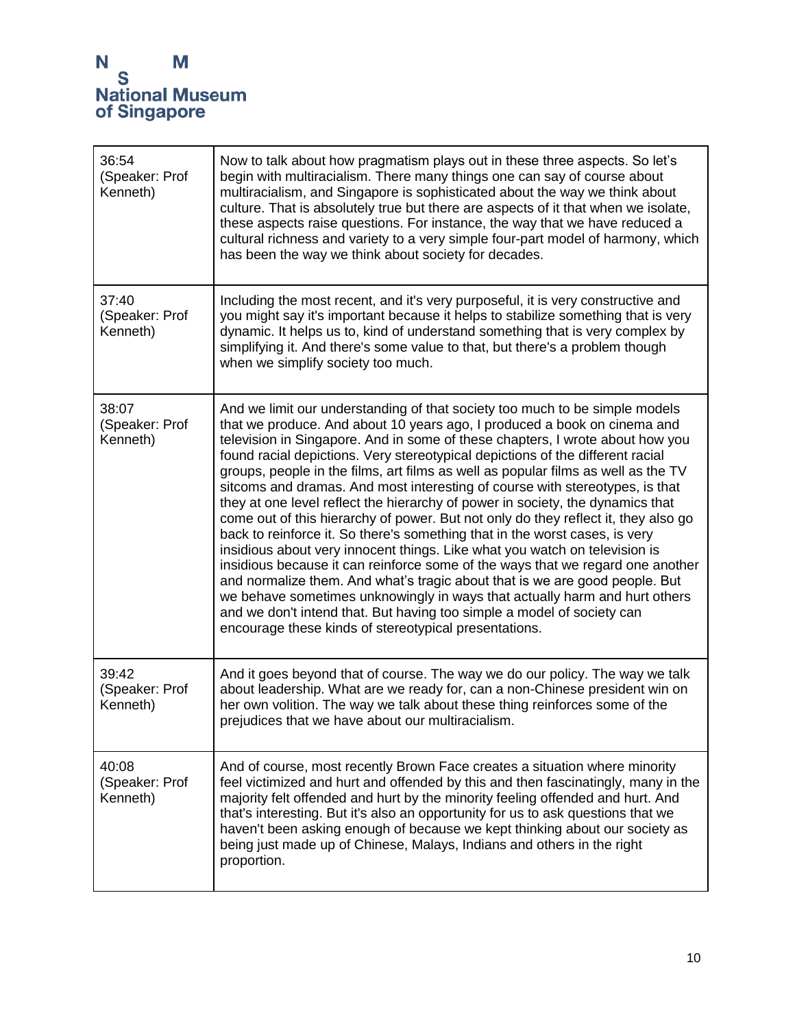| 36:54<br>(Speaker: Prof<br>Kenneth) | Now to talk about how pragmatism plays out in these three aspects. So let's<br>begin with multiracialism. There many things one can say of course about<br>multiracialism, and Singapore is sophisticated about the way we think about<br>culture. That is absolutely true but there are aspects of it that when we isolate,<br>these aspects raise questions. For instance, the way that we have reduced a<br>cultural richness and variety to a very simple four-part model of harmony, which<br>has been the way we think about society for decades.                                                                                                                                                                                                                                                                                                                                                                                                                                                                                                                                                                                                                                                                |
|-------------------------------------|------------------------------------------------------------------------------------------------------------------------------------------------------------------------------------------------------------------------------------------------------------------------------------------------------------------------------------------------------------------------------------------------------------------------------------------------------------------------------------------------------------------------------------------------------------------------------------------------------------------------------------------------------------------------------------------------------------------------------------------------------------------------------------------------------------------------------------------------------------------------------------------------------------------------------------------------------------------------------------------------------------------------------------------------------------------------------------------------------------------------------------------------------------------------------------------------------------------------|
| 37:40<br>(Speaker: Prof<br>Kenneth) | Including the most recent, and it's very purposeful, it is very constructive and<br>you might say it's important because it helps to stabilize something that is very<br>dynamic. It helps us to, kind of understand something that is very complex by<br>simplifying it. And there's some value to that, but there's a problem though<br>when we simplify society too much.                                                                                                                                                                                                                                                                                                                                                                                                                                                                                                                                                                                                                                                                                                                                                                                                                                           |
| 38:07<br>(Speaker: Prof<br>Kenneth) | And we limit our understanding of that society too much to be simple models<br>that we produce. And about 10 years ago, I produced a book on cinema and<br>television in Singapore. And in some of these chapters, I wrote about how you<br>found racial depictions. Very stereotypical depictions of the different racial<br>groups, people in the films, art films as well as popular films as well as the TV<br>sitcoms and dramas. And most interesting of course with stereotypes, is that<br>they at one level reflect the hierarchy of power in society, the dynamics that<br>come out of this hierarchy of power. But not only do they reflect it, they also go<br>back to reinforce it. So there's something that in the worst cases, is very<br>insidious about very innocent things. Like what you watch on television is<br>insidious because it can reinforce some of the ways that we regard one another<br>and normalize them. And what's tragic about that is we are good people. But<br>we behave sometimes unknowingly in ways that actually harm and hurt others<br>and we don't intend that. But having too simple a model of society can<br>encourage these kinds of stereotypical presentations. |
| 39:42<br>(Speaker: Prof<br>Kenneth) | And it goes beyond that of course. The way we do our policy. The way we talk<br>about leadership. What are we ready for, can a non-Chinese president win on<br>her own volition. The way we talk about these thing reinforces some of the<br>prejudices that we have about our multiracialism.                                                                                                                                                                                                                                                                                                                                                                                                                                                                                                                                                                                                                                                                                                                                                                                                                                                                                                                         |
| 40:08<br>(Speaker: Prof<br>Kenneth) | And of course, most recently Brown Face creates a situation where minority<br>feel victimized and hurt and offended by this and then fascinatingly, many in the<br>majority felt offended and hurt by the minority feeling offended and hurt. And<br>that's interesting. But it's also an opportunity for us to ask questions that we<br>haven't been asking enough of because we kept thinking about our society as<br>being just made up of Chinese, Malays, Indians and others in the right<br>proportion.                                                                                                                                                                                                                                                                                                                                                                                                                                                                                                                                                                                                                                                                                                          |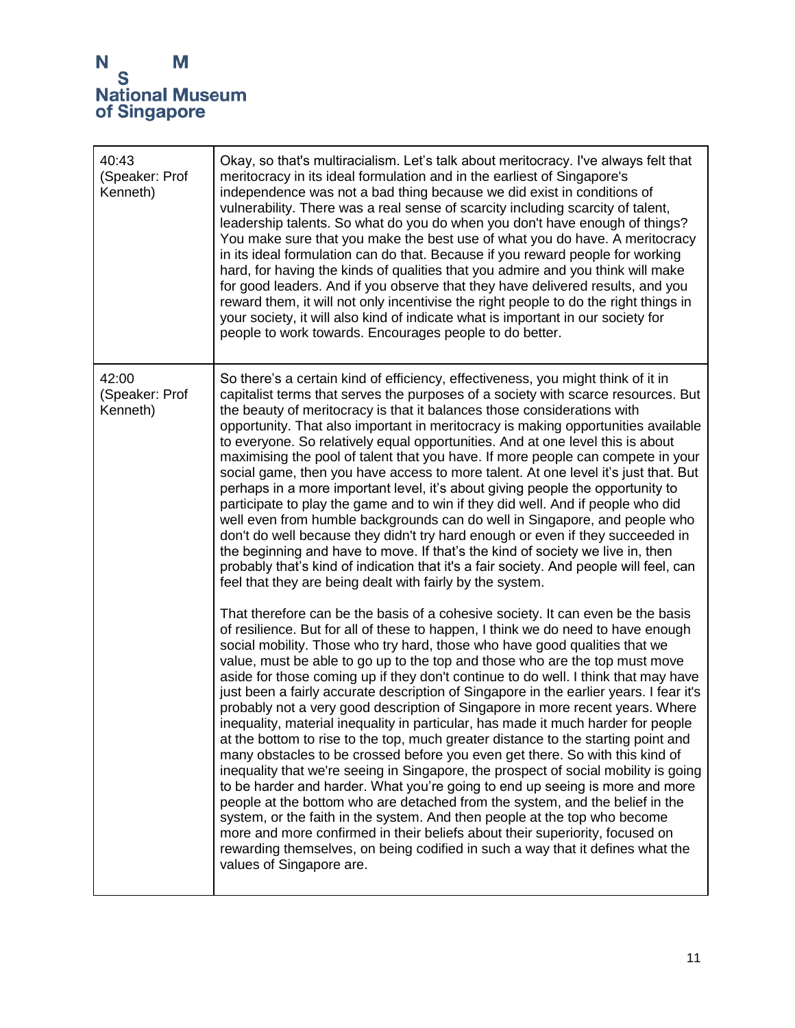| 40:43<br>(Speaker: Prof<br>Kenneth) | Okay, so that's multiracialism. Let's talk about meritocracy. I've always felt that<br>meritocracy in its ideal formulation and in the earliest of Singapore's<br>independence was not a bad thing because we did exist in conditions of<br>vulnerability. There was a real sense of scarcity including scarcity of talent,<br>leadership talents. So what do you do when you don't have enough of things?<br>You make sure that you make the best use of what you do have. A meritocracy<br>in its ideal formulation can do that. Because if you reward people for working<br>hard, for having the kinds of qualities that you admire and you think will make<br>for good leaders. And if you observe that they have delivered results, and you<br>reward them, it will not only incentivise the right people to do the right things in<br>your society, it will also kind of indicate what is important in our society for<br>people to work towards. Encourages people to do better.                                                                                                                                                                                                                                                                                                                                                                                                       |
|-------------------------------------|-----------------------------------------------------------------------------------------------------------------------------------------------------------------------------------------------------------------------------------------------------------------------------------------------------------------------------------------------------------------------------------------------------------------------------------------------------------------------------------------------------------------------------------------------------------------------------------------------------------------------------------------------------------------------------------------------------------------------------------------------------------------------------------------------------------------------------------------------------------------------------------------------------------------------------------------------------------------------------------------------------------------------------------------------------------------------------------------------------------------------------------------------------------------------------------------------------------------------------------------------------------------------------------------------------------------------------------------------------------------------------------------------|
| 42:00<br>(Speaker: Prof<br>Kenneth) | So there's a certain kind of efficiency, effectiveness, you might think of it in<br>capitalist terms that serves the purposes of a society with scarce resources. But<br>the beauty of meritocracy is that it balances those considerations with<br>opportunity. That also important in meritocracy is making opportunities available<br>to everyone. So relatively equal opportunities. And at one level this is about<br>maximising the pool of talent that you have. If more people can compete in your<br>social game, then you have access to more talent. At one level it's just that. But<br>perhaps in a more important level, it's about giving people the opportunity to<br>participate to play the game and to win if they did well. And if people who did<br>well even from humble backgrounds can do well in Singapore, and people who<br>don't do well because they didn't try hard enough or even if they succeeded in<br>the beginning and have to move. If that's the kind of society we live in, then<br>probably that's kind of indication that it's a fair society. And people will feel, can<br>feel that they are being dealt with fairly by the system.                                                                                                                                                                                                                |
|                                     | That therefore can be the basis of a cohesive society. It can even be the basis<br>of resilience. But for all of these to happen, I think we do need to have enough<br>social mobility. Those who try hard, those who have good qualities that we<br>value, must be able to go up to the top and those who are the top must move<br>aside for those coming up if they don't continue to do well. I think that may have<br>just been a fairly accurate description of Singapore in the earlier years. I fear it's<br>probably not a very good description of Singapore in more recent years. Where<br>inequality, material inequality in particular, has made it much harder for people<br>at the bottom to rise to the top, much greater distance to the starting point and<br>many obstacles to be crossed before you even get there. So with this kind of<br>inequality that we're seeing in Singapore, the prospect of social mobility is going<br>to be harder and harder. What you're going to end up seeing is more and more<br>people at the bottom who are detached from the system, and the belief in the<br>system, or the faith in the system. And then people at the top who become<br>more and more confirmed in their beliefs about their superiority, focused on<br>rewarding themselves, on being codified in such a way that it defines what the<br>values of Singapore are. |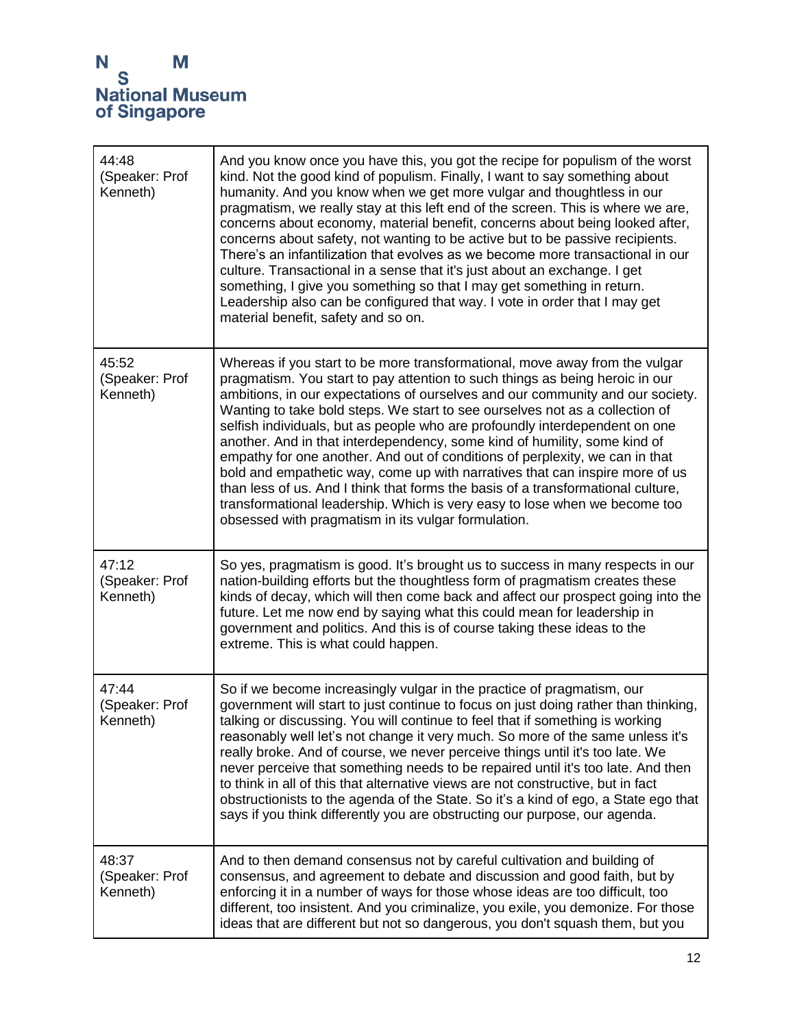| 44:48<br>(Speaker: Prof<br>Kenneth) | And you know once you have this, you got the recipe for populism of the worst<br>kind. Not the good kind of populism. Finally, I want to say something about<br>humanity. And you know when we get more vulgar and thoughtless in our<br>pragmatism, we really stay at this left end of the screen. This is where we are,<br>concerns about economy, material benefit, concerns about being looked after,<br>concerns about safety, not wanting to be active but to be passive recipients.<br>There's an infantilization that evolves as we become more transactional in our<br>culture. Transactional in a sense that it's just about an exchange. I get<br>something, I give you something so that I may get something in return.<br>Leadership also can be configured that way. I vote in order that I may get<br>material benefit, safety and so on.                           |
|-------------------------------------|------------------------------------------------------------------------------------------------------------------------------------------------------------------------------------------------------------------------------------------------------------------------------------------------------------------------------------------------------------------------------------------------------------------------------------------------------------------------------------------------------------------------------------------------------------------------------------------------------------------------------------------------------------------------------------------------------------------------------------------------------------------------------------------------------------------------------------------------------------------------------------|
| 45:52<br>(Speaker: Prof<br>Kenneth) | Whereas if you start to be more transformational, move away from the vulgar<br>pragmatism. You start to pay attention to such things as being heroic in our<br>ambitions, in our expectations of ourselves and our community and our society.<br>Wanting to take bold steps. We start to see ourselves not as a collection of<br>selfish individuals, but as people who are profoundly interdependent on one<br>another. And in that interdependency, some kind of humility, some kind of<br>empathy for one another. And out of conditions of perplexity, we can in that<br>bold and empathetic way, come up with narratives that can inspire more of us<br>than less of us. And I think that forms the basis of a transformational culture,<br>transformational leadership. Which is very easy to lose when we become too<br>obsessed with pragmatism in its vulgar formulation. |
| 47:12<br>(Speaker: Prof<br>Kenneth) | So yes, pragmatism is good. It's brought us to success in many respects in our<br>nation-building efforts but the thoughtless form of pragmatism creates these<br>kinds of decay, which will then come back and affect our prospect going into the<br>future. Let me now end by saying what this could mean for leadership in<br>government and politics. And this is of course taking these ideas to the<br>extreme. This is what could happen.                                                                                                                                                                                                                                                                                                                                                                                                                                   |
| 47:44<br>(Speaker: Prof<br>Kenneth) | So if we become increasingly vulgar in the practice of pragmatism, our<br>government will start to just continue to focus on just doing rather than thinking,<br>talking or discussing. You will continue to feel that if something is working<br>reasonably well let's not change it very much. So more of the same unless it's<br>really broke. And of course, we never perceive things until it's too late. We<br>never perceive that something needs to be repaired until it's too late. And then<br>to think in all of this that alternative views are not constructive, but in fact<br>obstructionists to the agenda of the State. So it's a kind of ego, a State ego that<br>says if you think differently you are obstructing our purpose, our agenda.                                                                                                                     |
| 48:37<br>(Speaker: Prof<br>Kenneth) | And to then demand consensus not by careful cultivation and building of<br>consensus, and agreement to debate and discussion and good faith, but by<br>enforcing it in a number of ways for those whose ideas are too difficult, too<br>different, too insistent. And you criminalize, you exile, you demonize. For those<br>ideas that are different but not so dangerous, you don't squash them, but you                                                                                                                                                                                                                                                                                                                                                                                                                                                                         |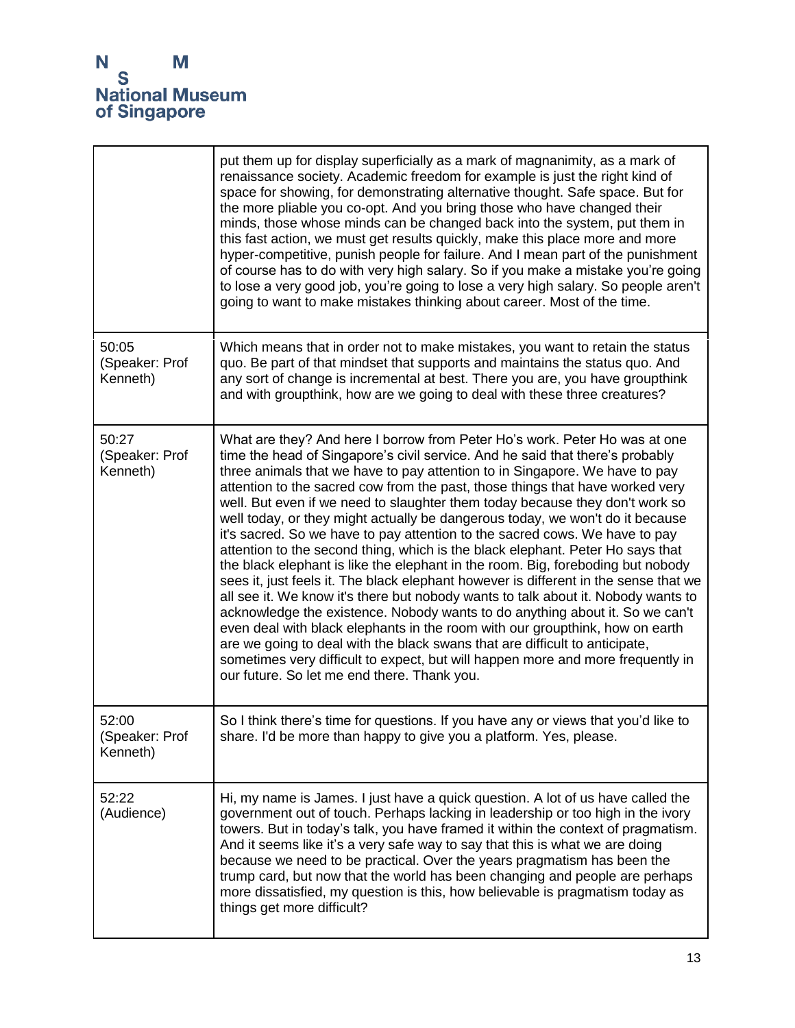|                                     | put them up for display superficially as a mark of magnanimity, as a mark of<br>renaissance society. Academic freedom for example is just the right kind of<br>space for showing, for demonstrating alternative thought. Safe space. But for<br>the more pliable you co-opt. And you bring those who have changed their<br>minds, those whose minds can be changed back into the system, put them in<br>this fast action, we must get results quickly, make this place more and more<br>hyper-competitive, punish people for failure. And I mean part of the punishment<br>of course has to do with very high salary. So if you make a mistake you're going<br>to lose a very good job, you're going to lose a very high salary. So people aren't<br>going to want to make mistakes thinking about career. Most of the time.                                                                                                                                                                                                                                                                                                                                                                                                                                                                                   |
|-------------------------------------|----------------------------------------------------------------------------------------------------------------------------------------------------------------------------------------------------------------------------------------------------------------------------------------------------------------------------------------------------------------------------------------------------------------------------------------------------------------------------------------------------------------------------------------------------------------------------------------------------------------------------------------------------------------------------------------------------------------------------------------------------------------------------------------------------------------------------------------------------------------------------------------------------------------------------------------------------------------------------------------------------------------------------------------------------------------------------------------------------------------------------------------------------------------------------------------------------------------------------------------------------------------------------------------------------------------|
| 50:05<br>(Speaker: Prof<br>Kenneth) | Which means that in order not to make mistakes, you want to retain the status<br>quo. Be part of that mindset that supports and maintains the status quo. And<br>any sort of change is incremental at best. There you are, you have groupthink<br>and with groupthink, how are we going to deal with these three creatures?                                                                                                                                                                                                                                                                                                                                                                                                                                                                                                                                                                                                                                                                                                                                                                                                                                                                                                                                                                                    |
| 50:27<br>(Speaker: Prof<br>Kenneth) | What are they? And here I borrow from Peter Ho's work. Peter Ho was at one<br>time the head of Singapore's civil service. And he said that there's probably<br>three animals that we have to pay attention to in Singapore. We have to pay<br>attention to the sacred cow from the past, those things that have worked very<br>well. But even if we need to slaughter them today because they don't work so<br>well today, or they might actually be dangerous today, we won't do it because<br>it's sacred. So we have to pay attention to the sacred cows. We have to pay<br>attention to the second thing, which is the black elephant. Peter Ho says that<br>the black elephant is like the elephant in the room. Big, foreboding but nobody<br>sees it, just feels it. The black elephant however is different in the sense that we<br>all see it. We know it's there but nobody wants to talk about it. Nobody wants to<br>acknowledge the existence. Nobody wants to do anything about it. So we can't<br>even deal with black elephants in the room with our groupthink, how on earth<br>are we going to deal with the black swans that are difficult to anticipate,<br>sometimes very difficult to expect, but will happen more and more frequently in<br>our future. So let me end there. Thank you. |
| 52:00<br>(Speaker: Prof<br>Kenneth) | So I think there's time for questions. If you have any or views that you'd like to<br>share. I'd be more than happy to give you a platform. Yes, please.                                                                                                                                                                                                                                                                                                                                                                                                                                                                                                                                                                                                                                                                                                                                                                                                                                                                                                                                                                                                                                                                                                                                                       |
| 52:22<br>(Audience)                 | Hi, my name is James. I just have a quick question. A lot of us have called the<br>government out of touch. Perhaps lacking in leadership or too high in the ivory<br>towers. But in today's talk, you have framed it within the context of pragmatism.<br>And it seems like it's a very safe way to say that this is what we are doing<br>because we need to be practical. Over the years pragmatism has been the<br>trump card, but now that the world has been changing and people are perhaps<br>more dissatisfied, my question is this, how believable is pragmatism today as<br>things get more difficult?                                                                                                                                                                                                                                                                                                                                                                                                                                                                                                                                                                                                                                                                                               |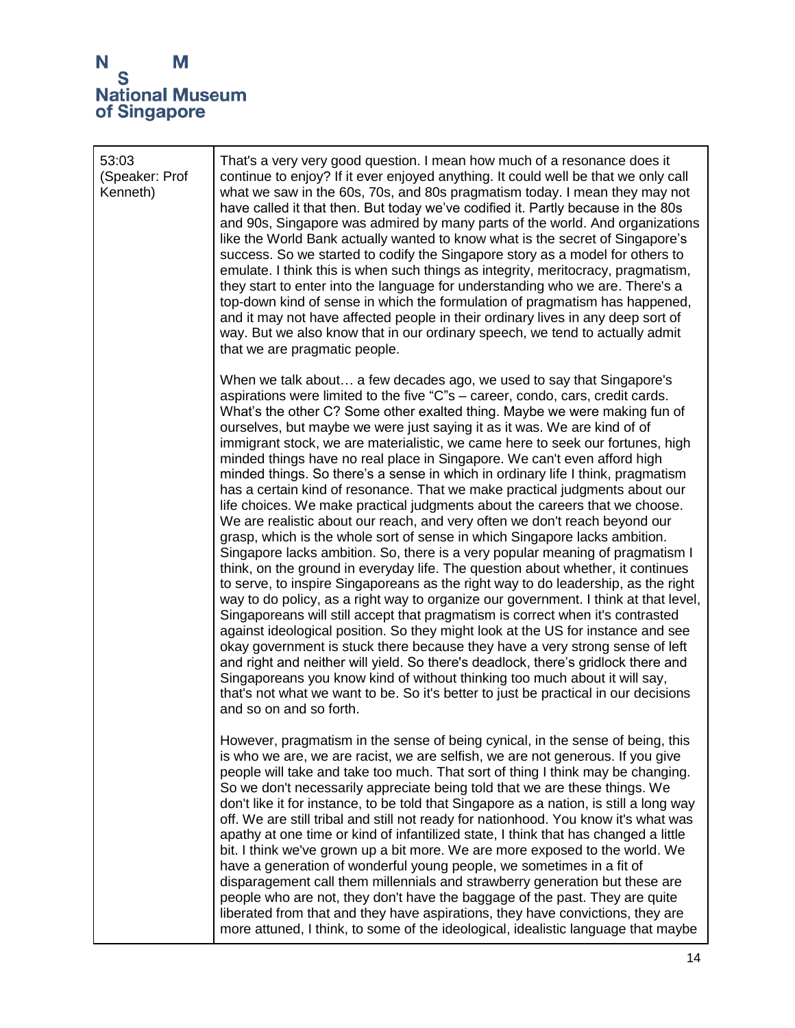## N<br>S<br>National Museum<br>of Singapore

| 53:03<br>(Speaker: Prof<br>Kenneth) | That's a very very good question. I mean how much of a resonance does it<br>continue to enjoy? If it ever enjoyed anything. It could well be that we only call<br>what we saw in the 60s, 70s, and 80s pragmatism today. I mean they may not<br>have called it that then. But today we've codified it. Partly because in the 80s<br>and 90s, Singapore was admired by many parts of the world. And organizations<br>like the World Bank actually wanted to know what is the secret of Singapore's<br>success. So we started to codify the Singapore story as a model for others to<br>emulate. I think this is when such things as integrity, meritocracy, pragmatism,<br>they start to enter into the language for understanding who we are. There's a<br>top-down kind of sense in which the formulation of pragmatism has happened,<br>and it may not have affected people in their ordinary lives in any deep sort of<br>way. But we also know that in our ordinary speech, we tend to actually admit<br>that we are pragmatic people.                                                                                                                                                                                                                                                                                                                                                                                                                                                                                                                                                                                                                                                                                                                                            |
|-------------------------------------|---------------------------------------------------------------------------------------------------------------------------------------------------------------------------------------------------------------------------------------------------------------------------------------------------------------------------------------------------------------------------------------------------------------------------------------------------------------------------------------------------------------------------------------------------------------------------------------------------------------------------------------------------------------------------------------------------------------------------------------------------------------------------------------------------------------------------------------------------------------------------------------------------------------------------------------------------------------------------------------------------------------------------------------------------------------------------------------------------------------------------------------------------------------------------------------------------------------------------------------------------------------------------------------------------------------------------------------------------------------------------------------------------------------------------------------------------------------------------------------------------------------------------------------------------------------------------------------------------------------------------------------------------------------------------------------------------------------------------------------------------------------------------------------|
|                                     | When we talk about a few decades ago, we used to say that Singapore's<br>aspirations were limited to the five "C"s – career, condo, cars, credit cards.<br>What's the other C? Some other exalted thing. Maybe we were making fun of<br>ourselves, but maybe we were just saying it as it was. We are kind of of<br>immigrant stock, we are materialistic, we came here to seek our fortunes, high<br>minded things have no real place in Singapore. We can't even afford high<br>minded things. So there's a sense in which in ordinary life I think, pragmatism<br>has a certain kind of resonance. That we make practical judgments about our<br>life choices. We make practical judgments about the careers that we choose.<br>We are realistic about our reach, and very often we don't reach beyond our<br>grasp, which is the whole sort of sense in which Singapore lacks ambition.<br>Singapore lacks ambition. So, there is a very popular meaning of pragmatism I<br>think, on the ground in everyday life. The question about whether, it continues<br>to serve, to inspire Singaporeans as the right way to do leadership, as the right<br>way to do policy, as a right way to organize our government. I think at that level,<br>Singaporeans will still accept that pragmatism is correct when it's contrasted<br>against ideological position. So they might look at the US for instance and see<br>okay government is stuck there because they have a very strong sense of left<br>and right and neither will yield. So there's deadlock, there's gridlock there and<br>Singaporeans you know kind of without thinking too much about it will say,<br>that's not what we want to be. So it's better to just be practical in our decisions<br>and so on and so forth. |
|                                     | However, pragmatism in the sense of being cynical, in the sense of being, this<br>is who we are, we are racist, we are selfish, we are not generous. If you give<br>people will take and take too much. That sort of thing I think may be changing.<br>So we don't necessarily appreciate being told that we are these things. We<br>don't like it for instance, to be told that Singapore as a nation, is still a long way<br>off. We are still tribal and still not ready for nationhood. You know it's what was<br>apathy at one time or kind of infantilized state, I think that has changed a little<br>bit. I think we've grown up a bit more. We are more exposed to the world. We<br>have a generation of wonderful young people, we sometimes in a fit of<br>disparagement call them millennials and strawberry generation but these are<br>people who are not, they don't have the baggage of the past. They are quite<br>liberated from that and they have aspirations, they have convictions, they are<br>more attuned, I think, to some of the ideological, idealistic language that maybe                                                                                                                                                                                                                                                                                                                                                                                                                                                                                                                                                                                                                                                                               |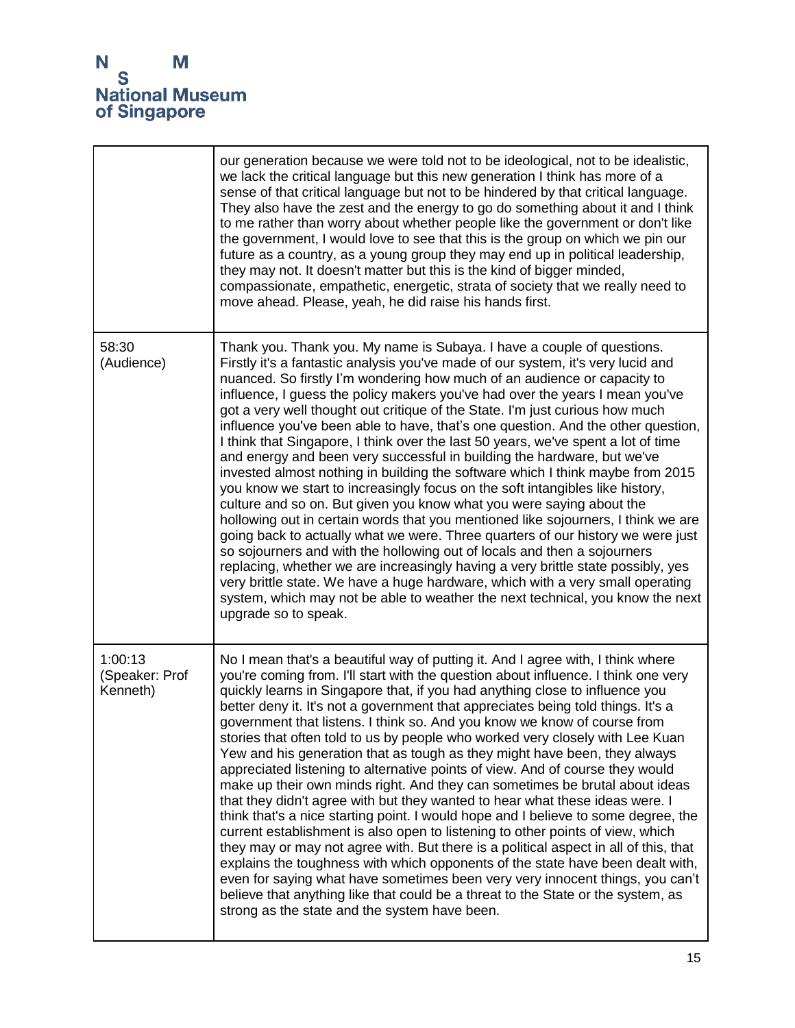

|                                       | our generation because we were told not to be ideological, not to be idealistic,<br>we lack the critical language but this new generation I think has more of a<br>sense of that critical language but not to be hindered by that critical language.<br>They also have the zest and the energy to go do something about it and I think<br>to me rather than worry about whether people like the government or don't like<br>the government, I would love to see that this is the group on which we pin our<br>future as a country, as a young group they may end up in political leadership,<br>they may not. It doesn't matter but this is the kind of bigger minded,<br>compassionate, empathetic, energetic, strata of society that we really need to<br>move ahead. Please, yeah, he did raise his hands first.                                                                                                                                                                                                                                                                                                                                                                                                                                                                                                                                                                                                                       |
|---------------------------------------|-------------------------------------------------------------------------------------------------------------------------------------------------------------------------------------------------------------------------------------------------------------------------------------------------------------------------------------------------------------------------------------------------------------------------------------------------------------------------------------------------------------------------------------------------------------------------------------------------------------------------------------------------------------------------------------------------------------------------------------------------------------------------------------------------------------------------------------------------------------------------------------------------------------------------------------------------------------------------------------------------------------------------------------------------------------------------------------------------------------------------------------------------------------------------------------------------------------------------------------------------------------------------------------------------------------------------------------------------------------------------------------------------------------------------------------------|
| 58:30<br>(Audience)                   | Thank you. Thank you. My name is Subaya. I have a couple of questions.<br>Firstly it's a fantastic analysis you've made of our system, it's very lucid and<br>nuanced. So firstly I'm wondering how much of an audience or capacity to<br>influence, I guess the policy makers you've had over the years I mean you've<br>got a very well thought out critique of the State. I'm just curious how much<br>influence you've been able to have, that's one question. And the other question,<br>I think that Singapore, I think over the last 50 years, we've spent a lot of time<br>and energy and been very successful in building the hardware, but we've<br>invested almost nothing in building the software which I think maybe from 2015<br>you know we start to increasingly focus on the soft intangibles like history,<br>culture and so on. But given you know what you were saying about the<br>hollowing out in certain words that you mentioned like sojourners, I think we are<br>going back to actually what we were. Three quarters of our history we were just<br>so sojourners and with the hollowing out of locals and then a sojourners<br>replacing, whether we are increasingly having a very brittle state possibly, yes<br>very brittle state. We have a huge hardware, which with a very small operating<br>system, which may not be able to weather the next technical, you know the next<br>upgrade so to speak. |
| 1:00:13<br>(Speaker: Prof<br>Kenneth) | No I mean that's a beautiful way of putting it. And I agree with, I think where<br>you're coming from. I'll start with the question about influence. I think one very<br>quickly learns in Singapore that, if you had anything close to influence you<br>better deny it. It's not a government that appreciates being told things. It's a<br>government that listens. I think so. And you know we know of course from<br>stories that often told to us by people who worked very closely with Lee Kuan<br>Yew and his generation that as tough as they might have been, they always<br>appreciated listening to alternative points of view. And of course they would<br>make up their own minds right. And they can sometimes be brutal about ideas<br>that they didn't agree with but they wanted to hear what these ideas were. I<br>think that's a nice starting point. I would hope and I believe to some degree, the<br>current establishment is also open to listening to other points of view, which<br>they may or may not agree with. But there is a political aspect in all of this, that<br>explains the toughness with which opponents of the state have been dealt with,<br>even for saying what have sometimes been very very innocent things, you can't<br>believe that anything like that could be a threat to the State or the system, as<br>strong as the state and the system have been.                               |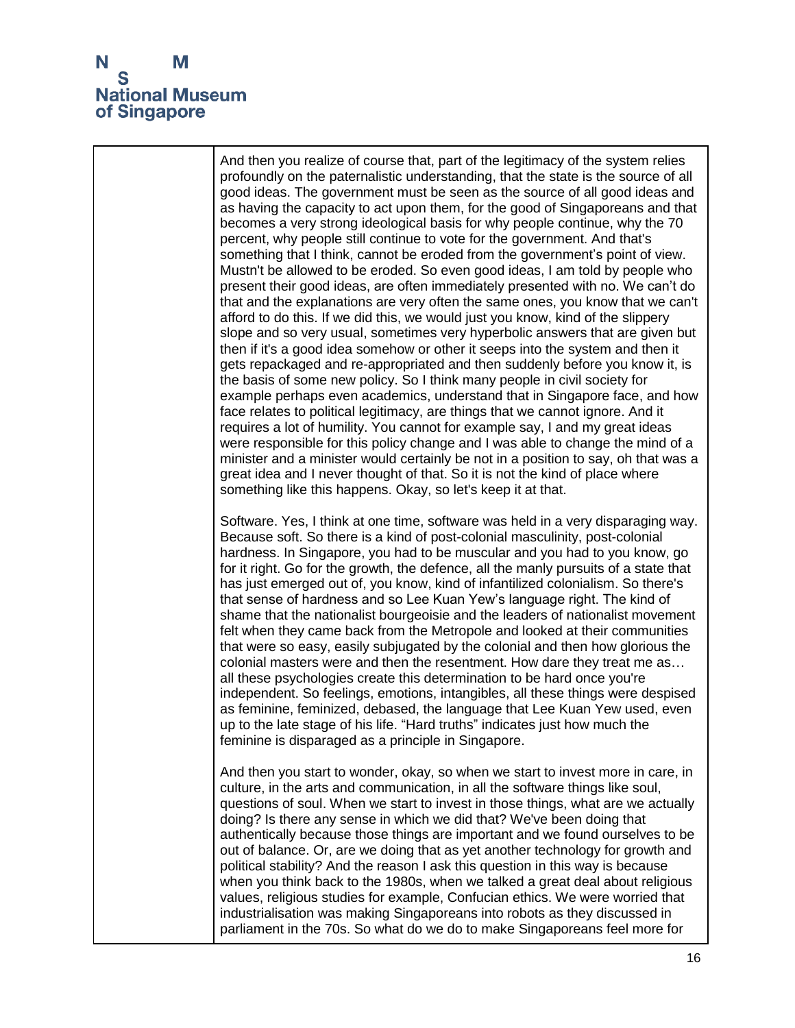

And then you realize of course that, part of the legitimacy of the system relies profoundly on the paternalistic understanding, that the state is the source of all good ideas. The government must be seen as the source of all good ideas and as having the capacity to act upon them, for the good of Singaporeans and that becomes a very strong ideological basis for why people continue, why the 70 percent, why people still continue to vote for the government. And that's something that I think, cannot be eroded from the government's point of view. Mustn't be allowed to be eroded. So even good ideas, I am told by people who present their good ideas, are often immediately presented with no. We can't do that and the explanations are very often the same ones, you know that we can't afford to do this. If we did this, we would just you know, kind of the slippery slope and so very usual, sometimes very hyperbolic answers that are given but then if it's a good idea somehow or other it seeps into the system and then it gets repackaged and re-appropriated and then suddenly before you know it, is the basis of some new policy. So I think many people in civil society for example perhaps even academics, understand that in Singapore face, and how face relates to political legitimacy, are things that we cannot ignore. And it requires a lot of humility. You cannot for example say, I and my great ideas were responsible for this policy change and I was able to change the mind of a minister and a minister would certainly be not in a position to say, oh that was a great idea and I never thought of that. So it is not the kind of place where something like this happens. Okay, so let's keep it at that. Software. Yes, I think at one time, software was held in a very disparaging way. Because soft. So there is a kind of post-colonial masculinity, post-colonial hardness. In Singapore, you had to be muscular and you had to you know, go for it right. Go for the growth, the defence, all the manly pursuits of a state that has just emerged out of, you know, kind of infantilized colonialism. So there's that sense of hardness and so Lee Kuan Yew's language right. The kind of shame that the nationalist bourgeoisie and the leaders of nationalist movement felt when they came back from the Metropole and looked at their communities that were so easy, easily subjugated by the colonial and then how glorious the colonial masters were and then the resentment. How dare they treat me as… all these psychologies create this determination to be hard once you're independent. So feelings, emotions, intangibles, all these things were despised as feminine, feminized, debased, the language that Lee Kuan Yew used, even up to the late stage of his life. "Hard truths" indicates just how much the feminine is disparaged as a principle in Singapore. And then you start to wonder, okay, so when we start to invest more in care, in culture, in the arts and communication, in all the software things like soul, questions of soul. When we start to invest in those things, what are we actually doing? Is there any sense in which we did that? We've been doing that authentically because those things are important and we found ourselves to be out of balance. Or, are we doing that as yet another technology for growth and political stability? And the reason I ask this question in this way is because when you think back to the 1980s, when we talked a great deal about religious values, religious studies for example, Confucian ethics. We were worried that industrialisation was making Singaporeans into robots as they discussed in parliament in the 70s. So what do we do to make Singaporeans feel more for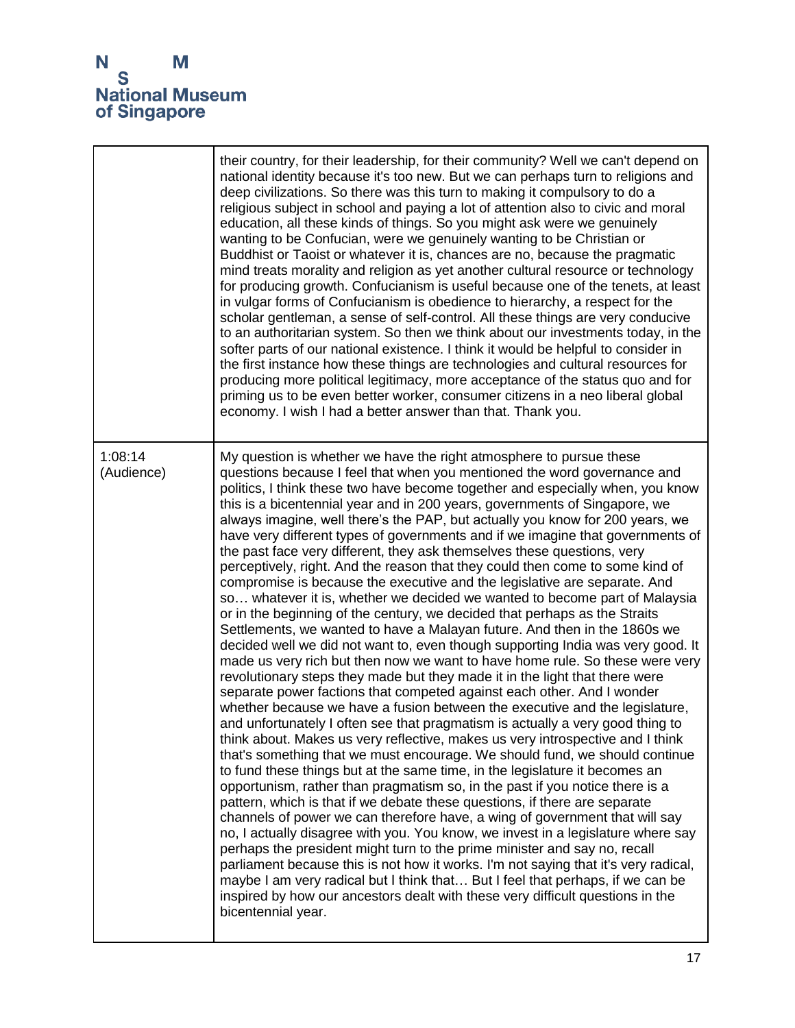

|                       | their country, for their leadership, for their community? Well we can't depend on<br>national identity because it's too new. But we can perhaps turn to religions and<br>deep civilizations. So there was this turn to making it compulsory to do a<br>religious subject in school and paying a lot of attention also to civic and moral<br>education, all these kinds of things. So you might ask were we genuinely<br>wanting to be Confucian, were we genuinely wanting to be Christian or<br>Buddhist or Taoist or whatever it is, chances are no, because the pragmatic<br>mind treats morality and religion as yet another cultural resource or technology<br>for producing growth. Confucianism is useful because one of the tenets, at least<br>in vulgar forms of Confucianism is obedience to hierarchy, a respect for the<br>scholar gentleman, a sense of self-control. All these things are very conducive<br>to an authoritarian system. So then we think about our investments today, in the<br>softer parts of our national existence. I think it would be helpful to consider in<br>the first instance how these things are technologies and cultural resources for<br>producing more political legitimacy, more acceptance of the status quo and for<br>priming us to be even better worker, consumer citizens in a neo liberal global<br>economy. I wish I had a better answer than that. Thank you.                                                                                                                                                                                                                                                                                                                                                                                                                                                                                                                                                                                                                                                                                                                                                                                                                                                                                                                                                                                          |
|-----------------------|------------------------------------------------------------------------------------------------------------------------------------------------------------------------------------------------------------------------------------------------------------------------------------------------------------------------------------------------------------------------------------------------------------------------------------------------------------------------------------------------------------------------------------------------------------------------------------------------------------------------------------------------------------------------------------------------------------------------------------------------------------------------------------------------------------------------------------------------------------------------------------------------------------------------------------------------------------------------------------------------------------------------------------------------------------------------------------------------------------------------------------------------------------------------------------------------------------------------------------------------------------------------------------------------------------------------------------------------------------------------------------------------------------------------------------------------------------------------------------------------------------------------------------------------------------------------------------------------------------------------------------------------------------------------------------------------------------------------------------------------------------------------------------------------------------------------------------------------------------------------------------------------------------------------------------------------------------------------------------------------------------------------------------------------------------------------------------------------------------------------------------------------------------------------------------------------------------------------------------------------------------------------------------------------------------------------------------------------------------------------------------------------------------------|
| 1:08:14<br>(Audience) | My question is whether we have the right atmosphere to pursue these<br>questions because I feel that when you mentioned the word governance and<br>politics, I think these two have become together and especially when, you know<br>this is a bicentennial year and in 200 years, governments of Singapore, we<br>always imagine, well there's the PAP, but actually you know for 200 years, we<br>have very different types of governments and if we imagine that governments of<br>the past face very different, they ask themselves these questions, very<br>perceptively, right. And the reason that they could then come to some kind of<br>compromise is because the executive and the legislative are separate. And<br>so whatever it is, whether we decided we wanted to become part of Malaysia<br>or in the beginning of the century, we decided that perhaps as the Straits<br>Settlements, we wanted to have a Malayan future. And then in the 1860s we<br>decided well we did not want to, even though supporting India was very good. It<br>made us very rich but then now we want to have home rule. So these were very<br>revolutionary steps they made but they made it in the light that there were<br>separate power factions that competed against each other. And I wonder<br>whether because we have a fusion between the executive and the legislature,<br>and unfortunately I often see that pragmatism is actually a very good thing to<br>think about. Makes us very reflective, makes us very introspective and I think<br>that's something that we must encourage. We should fund, we should continue<br>to fund these things but at the same time, in the legislature it becomes an<br>opportunism, rather than pragmatism so, in the past if you notice there is a<br>pattern, which is that if we debate these questions, if there are separate<br>channels of power we can therefore have, a wing of government that will say<br>no, I actually disagree with you. You know, we invest in a legislature where say<br>perhaps the president might turn to the prime minister and say no, recall<br>parliament because this is not how it works. I'm not saying that it's very radical,<br>maybe I am very radical but I think that But I feel that perhaps, if we can be<br>inspired by how our ancestors dealt with these very difficult questions in the<br>bicentennial year. |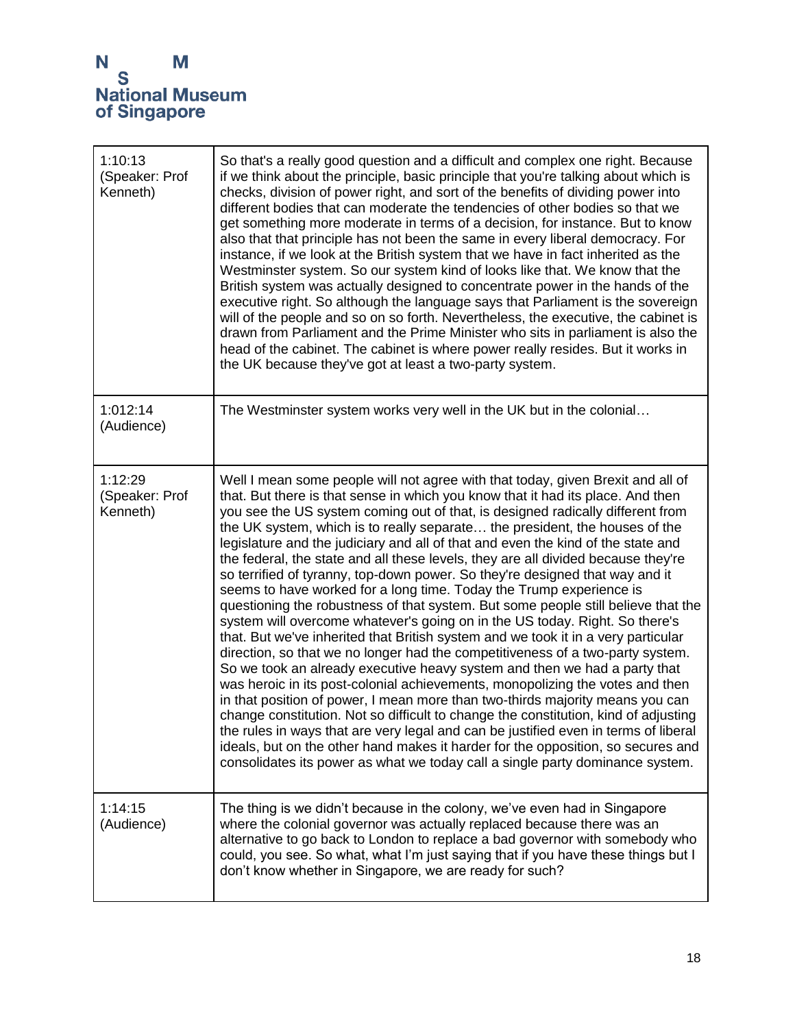| 1:10:13<br>(Speaker: Prof<br>Kenneth) | So that's a really good question and a difficult and complex one right. Because<br>if we think about the principle, basic principle that you're talking about which is<br>checks, division of power right, and sort of the benefits of dividing power into<br>different bodies that can moderate the tendencies of other bodies so that we<br>get something more moderate in terms of a decision, for instance. But to know<br>also that that principle has not been the same in every liberal democracy. For<br>instance, if we look at the British system that we have in fact inherited as the<br>Westminster system. So our system kind of looks like that. We know that the<br>British system was actually designed to concentrate power in the hands of the<br>executive right. So although the language says that Parliament is the sovereign<br>will of the people and so on so forth. Nevertheless, the executive, the cabinet is<br>drawn from Parliament and the Prime Minister who sits in parliament is also the<br>head of the cabinet. The cabinet is where power really resides. But it works in<br>the UK because they've got at least a two-party system.                                                                                                                                                                                                                                                                                                                                                                                                                                      |
|---------------------------------------|------------------------------------------------------------------------------------------------------------------------------------------------------------------------------------------------------------------------------------------------------------------------------------------------------------------------------------------------------------------------------------------------------------------------------------------------------------------------------------------------------------------------------------------------------------------------------------------------------------------------------------------------------------------------------------------------------------------------------------------------------------------------------------------------------------------------------------------------------------------------------------------------------------------------------------------------------------------------------------------------------------------------------------------------------------------------------------------------------------------------------------------------------------------------------------------------------------------------------------------------------------------------------------------------------------------------------------------------------------------------------------------------------------------------------------------------------------------------------------------------------------------------------------------------------------------------------------------------------------------|
| 1:012:14<br>(Audience)                | The Westminster system works very well in the UK but in the colonial                                                                                                                                                                                                                                                                                                                                                                                                                                                                                                                                                                                                                                                                                                                                                                                                                                                                                                                                                                                                                                                                                                                                                                                                                                                                                                                                                                                                                                                                                                                                             |
| 1:12:29<br>(Speaker: Prof<br>Kenneth) | Well I mean some people will not agree with that today, given Brexit and all of<br>that. But there is that sense in which you know that it had its place. And then<br>you see the US system coming out of that, is designed radically different from<br>the UK system, which is to really separate the president, the houses of the<br>legislature and the judiciary and all of that and even the kind of the state and<br>the federal, the state and all these levels, they are all divided because they're<br>so terrified of tyranny, top-down power. So they're designed that way and it<br>seems to have worked for a long time. Today the Trump experience is<br>questioning the robustness of that system. But some people still believe that the<br>system will overcome whatever's going on in the US today. Right. So there's<br>that. But we've inherited that British system and we took it in a very particular<br>direction, so that we no longer had the competitiveness of a two-party system.<br>So we took an already executive heavy system and then we had a party that<br>was heroic in its post-colonial achievements, monopolizing the votes and then<br>in that position of power, I mean more than two-thirds majority means you can<br>change constitution. Not so difficult to change the constitution, kind of adjusting<br>the rules in ways that are very legal and can be justified even in terms of liberal<br>ideals, but on the other hand makes it harder for the opposition, so secures and<br>consolidates its power as what we today call a single party dominance system. |
| 1:14:15<br>(Audience)                 | The thing is we didn't because in the colony, we've even had in Singapore<br>where the colonial governor was actually replaced because there was an<br>alternative to go back to London to replace a bad governor with somebody who<br>could, you see. So what, what I'm just saying that if you have these things but I<br>don't know whether in Singapore, we are ready for such?                                                                                                                                                                                                                                                                                                                                                                                                                                                                                                                                                                                                                                                                                                                                                                                                                                                                                                                                                                                                                                                                                                                                                                                                                              |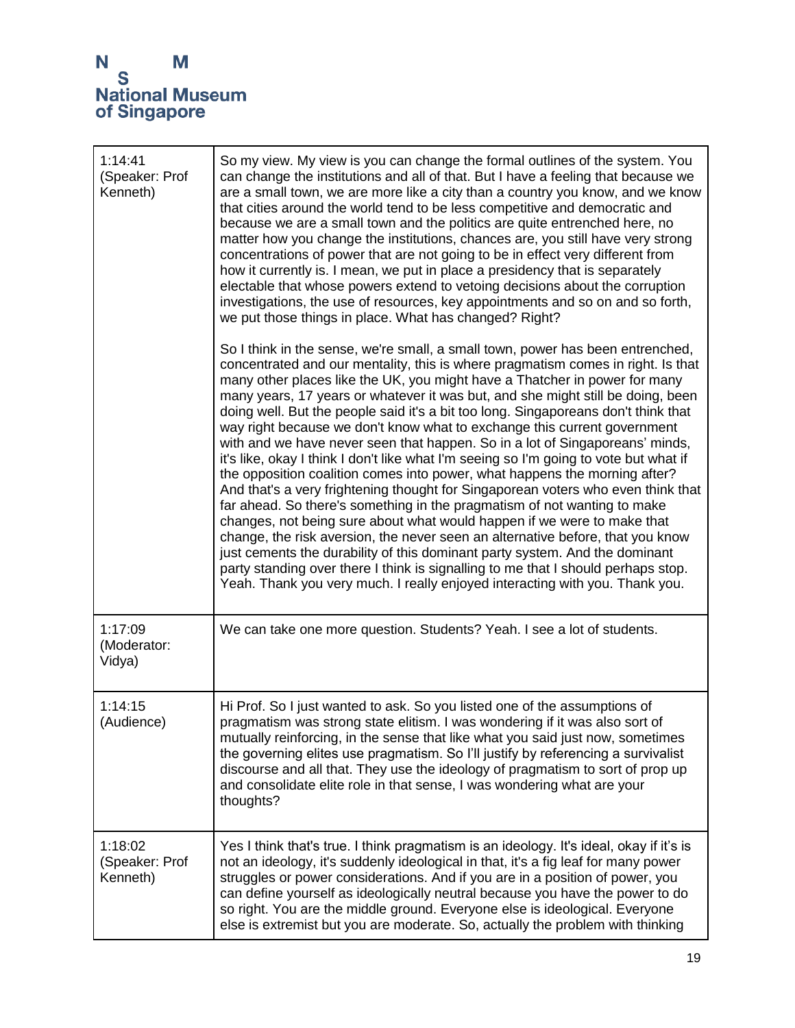| 1:14:41<br>(Speaker: Prof<br>Kenneth) | So my view. My view is you can change the formal outlines of the system. You<br>can change the institutions and all of that. But I have a feeling that because we<br>are a small town, we are more like a city than a country you know, and we know<br>that cities around the world tend to be less competitive and democratic and<br>because we are a small town and the politics are quite entrenched here, no<br>matter how you change the institutions, chances are, you still have very strong<br>concentrations of power that are not going to be in effect very different from<br>how it currently is. I mean, we put in place a presidency that is separately<br>electable that whose powers extend to vetoing decisions about the corruption<br>investigations, the use of resources, key appointments and so on and so forth,<br>we put those things in place. What has changed? Right?                                                                                                                                                                                                                                                                                                                                                                                                                                             |
|---------------------------------------|-----------------------------------------------------------------------------------------------------------------------------------------------------------------------------------------------------------------------------------------------------------------------------------------------------------------------------------------------------------------------------------------------------------------------------------------------------------------------------------------------------------------------------------------------------------------------------------------------------------------------------------------------------------------------------------------------------------------------------------------------------------------------------------------------------------------------------------------------------------------------------------------------------------------------------------------------------------------------------------------------------------------------------------------------------------------------------------------------------------------------------------------------------------------------------------------------------------------------------------------------------------------------------------------------------------------------------------------------|
|                                       | So I think in the sense, we're small, a small town, power has been entrenched,<br>concentrated and our mentality, this is where pragmatism comes in right. Is that<br>many other places like the UK, you might have a Thatcher in power for many<br>many years, 17 years or whatever it was but, and she might still be doing, been<br>doing well. But the people said it's a bit too long. Singaporeans don't think that<br>way right because we don't know what to exchange this current government<br>with and we have never seen that happen. So in a lot of Singaporeans' minds,<br>it's like, okay I think I don't like what I'm seeing so I'm going to vote but what if<br>the opposition coalition comes into power, what happens the morning after?<br>And that's a very frightening thought for Singaporean voters who even think that<br>far ahead. So there's something in the pragmatism of not wanting to make<br>changes, not being sure about what would happen if we were to make that<br>change, the risk aversion, the never seen an alternative before, that you know<br>just cements the durability of this dominant party system. And the dominant<br>party standing over there I think is signalling to me that I should perhaps stop.<br>Yeah. Thank you very much. I really enjoyed interacting with you. Thank you. |
| 1:17:09<br>(Moderator:<br>Vidya)      | We can take one more question. Students? Yeah. I see a lot of students.                                                                                                                                                                                                                                                                                                                                                                                                                                                                                                                                                                                                                                                                                                                                                                                                                                                                                                                                                                                                                                                                                                                                                                                                                                                                       |
| 1:14:15<br>(Audience)                 | Hi Prof. So I just wanted to ask. So you listed one of the assumptions of<br>pragmatism was strong state elitism. I was wondering if it was also sort of<br>mutually reinforcing, in the sense that like what you said just now, sometimes<br>the governing elites use pragmatism. So I'll justify by referencing a survivalist<br>discourse and all that. They use the ideology of pragmatism to sort of prop up<br>and consolidate elite role in that sense, I was wondering what are your<br>thoughts?                                                                                                                                                                                                                                                                                                                                                                                                                                                                                                                                                                                                                                                                                                                                                                                                                                     |
| 1:18:02<br>(Speaker: Prof<br>Kenneth) | Yes I think that's true. I think pragmatism is an ideology. It's ideal, okay if it's is<br>not an ideology, it's suddenly ideological in that, it's a fig leaf for many power<br>struggles or power considerations. And if you are in a position of power, you<br>can define yourself as ideologically neutral because you have the power to do<br>so right. You are the middle ground. Everyone else is ideological. Everyone<br>else is extremist but you are moderate. So, actually the problem with thinking                                                                                                                                                                                                                                                                                                                                                                                                                                                                                                                                                                                                                                                                                                                                                                                                                              |